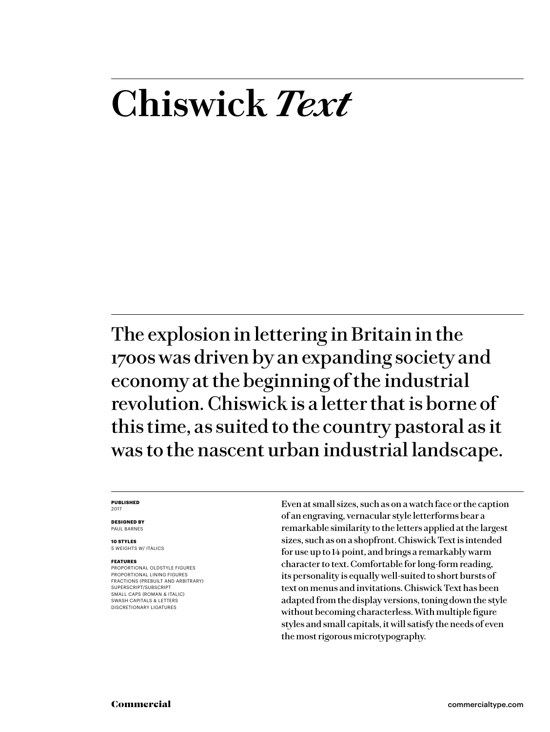# **Chiswick** *Text*

The explosion in lettering in Britain in the 1700s was driven by an expanding society and economy at the beginning of the industrial revolution. Chiswick is a letter that is borne of this time, as suited to the country pastoral as it was to the nascent urban industrial landscape.

#### **PUBLISHED** 2017

**DESIGNED BY**

PAUL BARNES **10 STYLES**

5 WEIGHTS W/ ITALICS

#### **FEATURES**

PROPORTIONAL OLDSTYLE FIGURES PROPORTIONAL LINING FIGURES FRACTIONS (PREBUILT AND ARBITRARY) SUPERSCRIPT/SUBSCRIPT SMALL CAPS (ROMAN & ITALIC) SWASH CAPITALS & LETTERS DISCRETIONARY LIGATURES

Even at small sizes, such as on a watch face or the caption of an engraving, vernacular style letterforms bear a remarkable similarity to the letters applied at the largest sizes, such as on a shopfront. Chiswick Text is intended for use up to 14 point, and brings a remarkably warm character to text. Comfortable for long-form reading, its personality is equally well-suited to short bursts of text on menus and invitations. Chiswick Text has been adapted from the display versions, toning down the style without becoming characterless. With multiple figure styles and small capitals, it will satisfy the needs of even the most rigorous microtypography.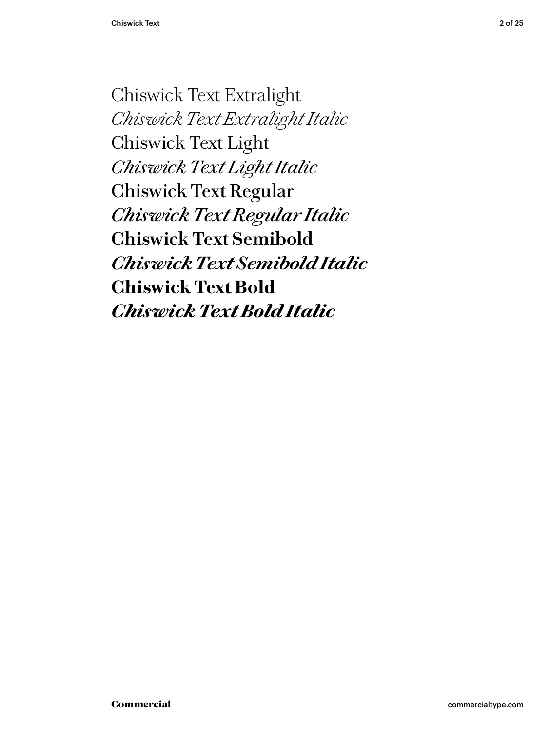Chiswick Text Extralight *Chiswick Text Extralight Italic* Chiswick Text Light *Chiswick Text Light Italic* Chiswick Text Regular *Chis wick Text Regular Italic* **Chiswick Text Semibold** *Chiswick Text Semibold Italic* **Chiswick Text Bold** *Chiswick Text Bold Italic*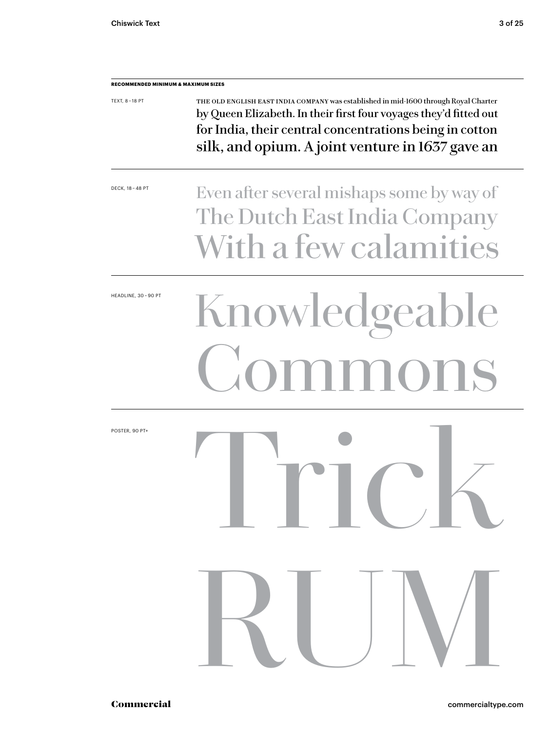| <b>TEXT, 8-18 PT</b> | THE OLD ENGLISH EAST INDIA COMPANY was established in mid-1600 through Royal Charter<br>by Queen Elizabeth. In their first four voyages they'd fitted out<br>for India, their central concentrations being in cotton<br>silk, and opium. A joint venture in 1637 gave an |
|----------------------|--------------------------------------------------------------------------------------------------------------------------------------------------------------------------------------------------------------------------------------------------------------------------|
| DECK, 18 - 48 PT     | Even after several mishaps some by way of<br>The Dutch East India Company<br>With a few calamities                                                                                                                                                                       |
| HEADLINE, 30-90 PT   | Knowledgeable<br>iommons                                                                                                                                                                                                                                                 |
| POSTER, 90 PT+       | <b>THUIL</b>                                                                                                                                                                                                                                                             |
|                      | RUM                                                                                                                                                                                                                                                                      |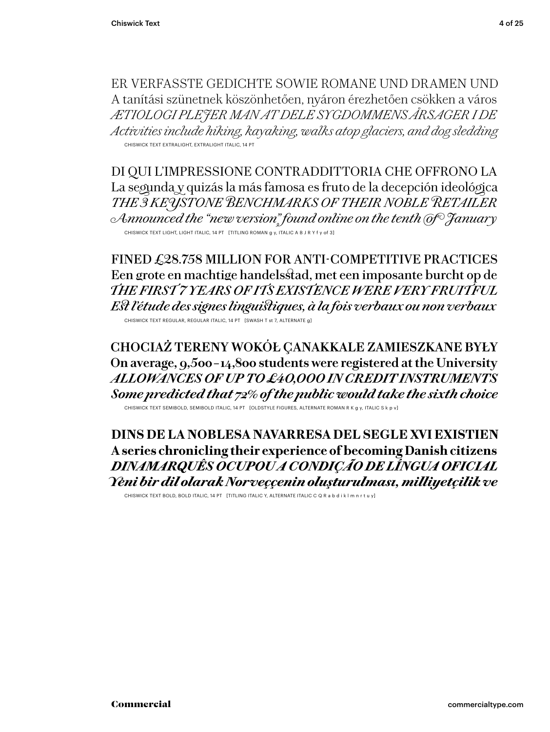ER VERFASSTE GEDICHTE SOWIE ROMANE UND DRAMEN UND A tanítási szünetnek köszönhetően, nyáron érezhetően csökken a város *ÆTIOLOGI PLEJER MAN AT DELE SYGDOMMENS ÅRSAGER I DE Activities include hiking, kayaking, walks atop glaciers, and dog sledding* CHISWICK TEXT EXTRALIGHT, EXTRALIGHT ITALIC, 14 PT

DI QUI L'IMPRESSIONE CONTRADDITTORIA CHE OFFRONO LA La segunda y quizás la más famosa es fruto de la decepción ideológica *THE 3 KEYSTONE BENCHMARKS OF THEIR NOBLE RETAILER Announced the "new version" found online on the tenth of January* CHISWICK TEXT LIGHT, LIGHT ITALIC, 14 PT [TITLING ROMAN g y, ITALIC A B J R Y f y of 3]

FINED £28.758 MILLION FOR ANTI-COMPETITIVE PRACTICES Een grote en machtige handelsstad, met een imposante burcht op de *THE FIRST 7 YEARS OF ITS EXISTENCE WERE VERY FRUITFUL Est l'étude des signes linguistiques, à la fois verbaux ou non verbaux* CHISWICK TEXT REGULAR, REGULAR ITALIC, 14 PT [SWASH T st 7, ALTERNATE g]

**CHOCIAŻ TERENY WOKÓŁ ÇANAKKALE ZAMIESZKANE BYŁY On average, 9,500 – 14,800 students were registered at the University** *ALLOWANCES OF UP TO £40,000 IN CREDIT INSTRUMENTS Some predicted that 72% of the public would take the sixth choice*

CHISWICK TEXT SEMIBOLD, SEMIBOLD ITALIC, 14 PT [OLDSTYLE FIGURES, ALTERNATE ROMAN R K g y, ITALIC S k p v]

**DINS DE LA NOBLESA NAVARRESA DEL SEGLE XVI EXISTIEN A series chronicling their experience of becoming Danish citizens** *DINAMARQUÊS OCUPOU A CONDIÇÃO DE LÍNGUA OFICIAL Yeni bir dil olarak Norveççenin oluşturulması, milliyetçilik ve*

CHISWICK TEXT BOLD, BOLD ITALIC, 14 PT [TITLING ITALIC Y, ALTERNATE ITALIC C Q R a b d i k l m n r t u y]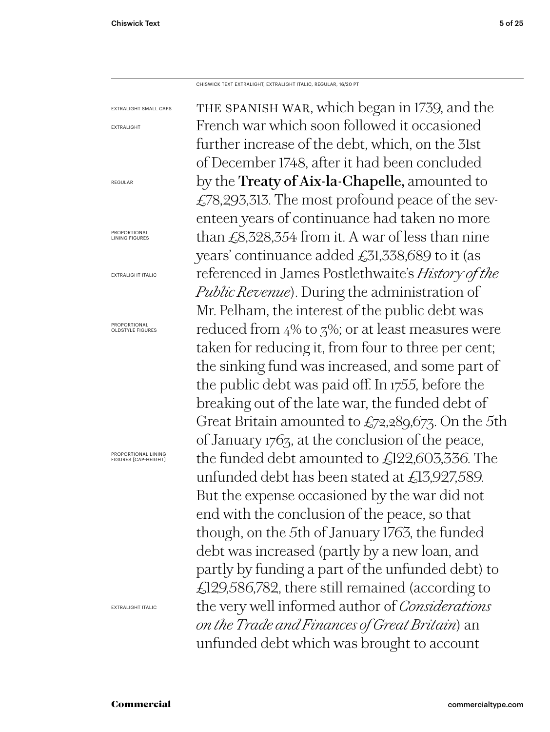CHISWICK TEXT EXTRALIGHT, EXTRALIGHT ITALIC, REGULAR, 16/20 PT

the spanish war, which began in 1739, and the French war which soon followed it occasioned further increase of the debt, which, on the 31st of December 1748, after it had been concluded by the Treaty of Aix-la-Chapelle, amounted to £78,293,313. The most profound peace of the seventeen years of continuance had taken no more than  $£8,328,354$  from it. A war of less than nine years' continuance added £31,338,689 to it (as referenced in James Postlethwaite's *History of the Public Revenue*). During the administration of Mr. Pelham, the interest of the public debt was reduced from 4% to 3%; or at least measures were taken for reducing it, from four to three per cent; the sinking fund was increased, and some part of the public debt was paid off. In 1755, before the breaking out of the late war, the funded debt of Great Britain amounted to  $\mathcal{L}_{72,2}89,677$ . On the 5th of January 1763, at the conclusion of the peace, the funded debt amounted to £122,603,336. The unfunded debt has been stated at £13,927,589. But the expense occasioned by the war did not end with the conclusion of the peace, so that though, on the 5th of January 1763, the funded debt was increased (partly by a new loan, and partly by funding a part of the unfunded debt) to £129,586,782, there still remained (according to the very well informed author of *Considerations on the Trade and Finances of Great Britain*) an unfunded debt which was brought to account EXTRALIGHT SMALL CAPS EXTRALIGHT REGULAR PROPORTIONAL LINING FIGURES EXTRALIGHT ITALIC PROPORTIONAL OLDSTYLE FIGURES PROPORTIONAL LINING FIGURES [CAP-HEIGHT]

EXTRALIGHT ITALIC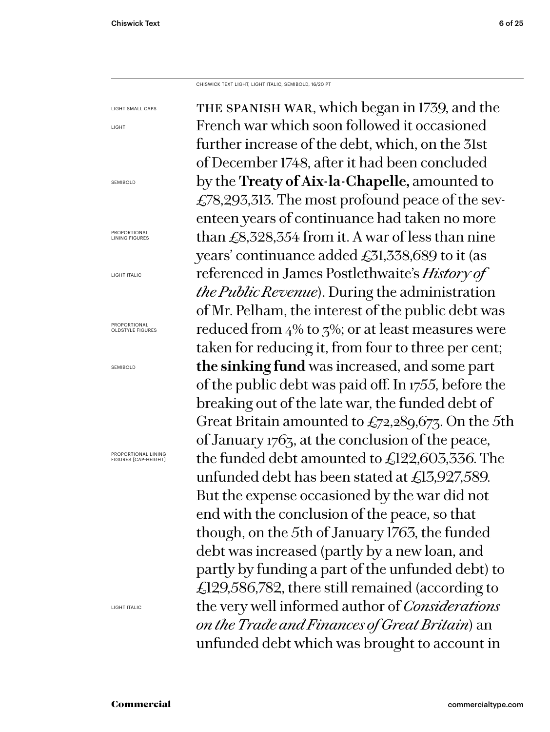LIGHT

CHISWICK TEXT LIGHT, LIGHT ITALIC, SEMIBOLD, 16/20 PT

the spanish war, which began in 1739, and the French war which soon followed it occasioned further increase of the debt, which, on the 31st of December 1748, after it had been concluded by the **Treaty of Aix-la-Chapelle,** amounted to £78,293,313. The most profound peace of the seventeen years of continuance had taken no more than £8,328,354 from it. A war of less than nine years' continuance added £31,338,689 to it (as referenced in James Postlethwaite's *History of the Public Revenue*). During the administration of Mr. Pelham, the interest of the public debt was reduced from  $4\%$  to  $5\%$ ; or at least measures were taken for reducing it, from four to three per cent; **the sinking fund** was increased, and some part of the public debt was paid off. In 1755, before the breaking out of the late war, the funded debt of Great Britain amounted to  $\pounds$ 72,289,673. On the 5th of January 1763, at the conclusion of the peace, the funded debt amounted to £122,603,336. The unfunded debt has been stated at £13,927,589. But the expense occasioned by the war did not end with the conclusion of the peace, so that though, on the 5th of January 1763, the funded debt was increased (partly by a new loan, and partly by funding a part of the unfunded debt) to £129,586,782, there still remained (according to the very well informed author of *Considerations on the Trade and Finances of Great Britain*) an unfunded debt which was brought to account in LIGHT SMALL CAPS SEMIBOLD PROPORTIONAL LINING FIGURES LIGHT ITALIC PROPORTIONAL OLDSTYLE FIGURES SEMIBOLD PROPORTIONAL LINING FIGURES [CAP-HEIGHT] LIGHT ITALIC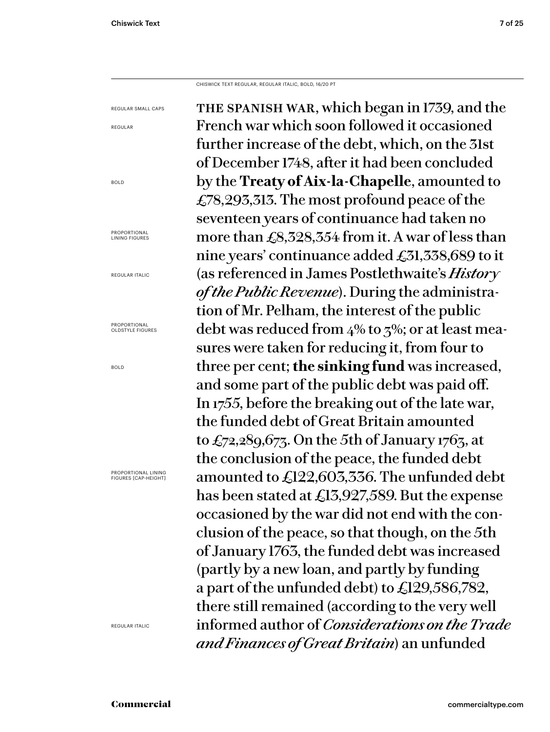CHISWICK TEXT REGULAR, REGULAR ITALIC, BOLD, 16/20 PT

the spanish war, which began in 1739, and the French war which soon followed it occasioned further increase of the debt, which, on the 31st of December 1748, after it had been concluded by the **Treaty of Aix-la-Chapelle**, amounted to £78,293,313. The most profound peace of the seventeen years of continuance had taken no more than £8,328,354 from it. A war of less than nine years' continuance added £31,338,689 to it (as referenced in James Postlethwaite's *Histor y of the Public Revenue*). During the administration of Mr. Pelham, the interest of the public debt was reduced from 4% to 3%; or at least measures were taken for reducing it, from four to three per cent; **the sinking fund** was increased, and some part of the public debt was paid off. In 1755, before the breaking out of the late war, the funded debt of Great Britain amounted to  $\pounds$ 72,289,673. On the 5th of January 1763, at the conclusion of the peace, the funded debt amounted to £122,603,336. The unfunded debt has been stated at £13,927,589. But the expense occasioned by the war did not end with the conclusion of the peace, so that though, on the 5th of January 1763, the funded debt was increased (partly by a new loan, and partly by funding a part of the unfunded debt) to £129,586,782, there still remained (according to the very well informed author of *Considerations on the Trade and Finances of Great Britain*) an unfunded REGULAR SMALL CAPS

REGULAR

BOLD

PROPORTIONAL LINING FIGURES

REGULAR ITALIC

PROPORTIONAL OLDSTYLE FIGURES

BOLD

PROPORTIONAL LINING FIGURES [CAP-HEIGHT]

REGULAR ITALIC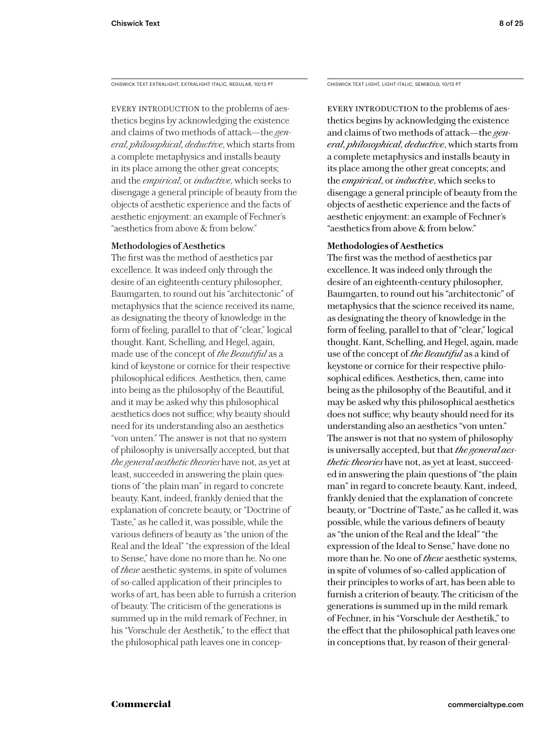CHISWICK TEXT EXTRALIGHT, EXTRALIGHT ITALIC, REGULAR, 10/13 PT

EVERY INTRODUCTION to the problems of aesthetics begins by acknowledging the existence and claims of two methods of attack—the *general, philosophical, deductive*, which starts from a complete metaphysics and installs beauty in its place among the other great concepts; and the *empirical*, or *inductive*, which seeks to disengage a general principle of beauty from the objects of aesthetic experience and the facts of aesthetic enjoyment: an example of Fechner's "aesthetics from above & from below."

## Methodologies of Aesthetics

The first was the method of aesthetics par excellence. It was indeed only through the desire of an eighteenth-century philosopher, Baumgarten, to round out his "architectonic" of metaphysics that the science received its name, as designating the theory of knowledge in the form of feeling, parallel to that of "clear," logical thought. Kant, Schelling, and Hegel, again, made use of the concept of *the Beautiful* as a kind of keystone or cornice for their respective philosophical edifices. Aesthetics, then, came into being as the philosophy of the Beautiful, and it may be asked why this philosophical aesthetics does not suffice; why beauty should need for its understanding also an aesthetics "von unten." The answer is not that no system of philosophy is universally accepted, but that *the general aesthetic theories* have not, as yet at least, succeeded in answering the plain questions of "the plain man" in regard to concrete beauty. Kant, indeed, frankly denied that the explanation of concrete beauty, or "Doctrine of Taste," as he called it, was possible, while the various definers of beauty as "the union of the Real and the Ideal" "the expression of the Ideal to Sense," have done no more than he. No one of *these* aesthetic systems, in spite of volumes of so-called application of their principles to works of art, has been able to furnish a criterion of beauty. The criticism of the generations is summed up in the mild remark of Fechner, in his "Vorschule der Aesthetik," to the effect that the philosophical path leaves one in concepCHISWICK TEXT LIGHT, LIGHT ITALIC, SEMIBOLD, 10/13 PT

EVERY INTRODUCTION to the problems of aesthetics begins by acknowledging the existence and claims of two methods of attack—the *general, philosophical, deductive*, which starts from a complete metaphysics and installs beauty in its place among the other great concepts; and the *empirical*, or *inductive*, which seeks to disengage a general principle of beauty from the objects of aesthetic experience and the facts of aesthetic enjoyment: an example of Fechner's "aesthetics from above & from below."

## **Methodologies of Aesthetics**

The first was the method of aesthetics par excellence. It was indeed only through the desire of an eighteenth-century philosopher, Baumgarten, to round out his "architectonic" of metaphysics that the science received its name, as designating the theory of knowledge in the form of feeling, parallel to that of "clear," logical thought. Kant, Schelling, and Hegel, again, made use of the concept of *the Beautiful* as a kind of keystone or cornice for their respective philosophical edifices. Aesthetics, then, came into being as the philosophy of the Beautiful, and it may be asked why this philosophical aesthetics does not suffice; why beauty should need for its understanding also an aesthetics "von unten." The answer is not that no system of philosophy is universally accepted, but that *the general aesthetic theories* have not, as yet at least, succeeded in answering the plain questions of "the plain man" in regard to concrete beauty. Kant, indeed, frankly denied that the explanation of concrete beauty, or "Doctrine of Taste," as he called it, was possible, while the various definers of beauty as "the union of the Real and the Ideal" "the expression of the Ideal to Sense," have done no more than he. No one of *these* aesthetic systems, in spite of volumes of so-called application of their principles to works of art, has been able to furnish a criterion of beauty. The criticism of the generations is summed up in the mild remark of Fechner, in his "Vorschule der Aesthetik," to the effect that the philosophical path leaves one in conceptions that, by reason of their general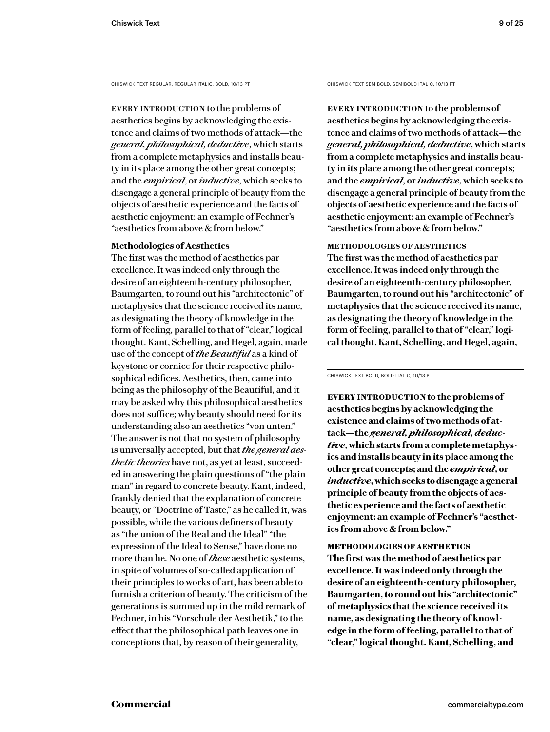CHISWICK TEXT REGULAR, REGULAR ITALIC, BOLD, 10/13 PT

EVERY INTRODUCTION to the problems of aesthetics begins by acknowledging the existence and claims of two methods of attack—the *general, philosophical, deductive*, which starts from a complete metaphysics and installs beauty in its place among the other great concepts; and the *empirical*, or *inductive*, which seeks to disengage a general principle of beauty from the objects of aesthetic experience and the facts of aesthetic enjoyment: an example of Fechner's "aesthetics from above & from below."

## **Methodologies of Aesthetics**

The first was the method of aesthetics par excellence. It was indeed only through the desire of an eighteenth-century philosopher, Baumgarten, to round out his "architectonic" of metaphysics that the science received its name, as designating the theory of knowledge in the form of feeling, parallel to that of "clear," logical thought. Kant, Schelling, and Hegel, again, made use of the concept of *the Beautiful* as a kind of keystone or cornice for their respective philosophical edifices. Aesthetics, then, came into being as the philosophy of the Beautiful, and it may be asked why this philosophical aesthetics does not suffice; why beauty should need for its understanding also an aesthetics "von unten." The answer is not that no system of philosophy is universally accepted, but that *the general aesthetic theories* have not, as yet at least, succeeded in answering the plain questions of "the plain man" in regard to concrete beauty. Kant, indeed, frankly denied that the explanation of concrete beauty, or "Doctrine of Taste," as he called it, was possible, while the various definers of beauty as "the union of the Real and the Ideal" "the expression of the Ideal to Sense," have done no more than he. No one of *these* aesthetic systems, in spite of volumes of so-called application of their principles to works of art, has been able to furnish a criterion of beauty. The criticism of the generations is summed up in the mild remark of Fechner, in his "Vorschule der Aesthetik," to the effect that the philosophical path leaves one in conceptions that, by reason of their generality,

CHISWICK TEXT SEMIBOLD, SEMIBOLD ITALIC, 10/13 PT

**Every introduction to the problems of aesthetics begins by acknowledging the existence and claims of two methods of attack—the**  *general, philosophical, deductive***, which starts from a complete metaphysics and installs beauty in its place among the other great concepts; and the** *empirical***, or** *inductive***, which seeks to disengage a general principle of beauty from the objects of aesthetic experience and the facts of aesthetic enjoyment: an example of Fechner's "aesthetics from above & from below."** 

**methodologies of aesthetics The first was the method of aesthetics par excellence. It was indeed only through the desire of an eighteenth-century philosopher, Baumgarten, to round out his "architectonic" of metaphysics that the science received its name, as designating the theory of knowledge in the form of feeling, parallel to that of "clear," logical thought. Kant, Schelling, and Hegel, again,** 

CHISWICK TEXT BOLD, BOLD ITALIC, 10/13 PT

**Every introduction to the problems of aesthetics begins by acknowledging the existence and claims of two methods of attack—the** *general, philosophical, deductive***, which starts from a complete metaphysics and installs beauty in its place among the other great concepts; and the** *empirical***, or**  *inductive***, which seeks to disengage a general principle of beauty from the objects of aesthetic experience and the facts of aesthetic enjoyment: an example of Fechner's "aesthetics from above & from below."** 

**methodologies of aesthetics The first was the method of aesthetics par excellence. It was indeed only through the desire of an eighteenth-century philosopher, Baumgarten, to round out his "architectonic" of metaphysics that the science received its name, as designating the theory of knowledge in the form of feeling, parallel to that of "clear," logical thought. Kant, Schelling, and**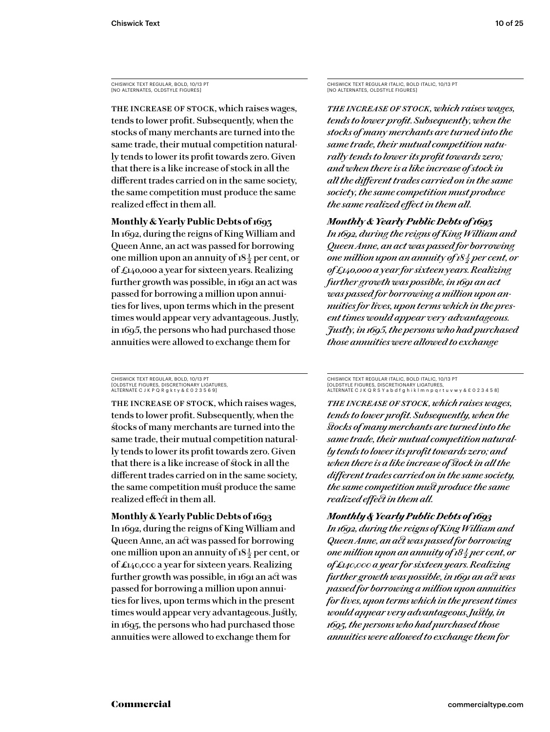CHISWICK TEXT REGULAR, BOLD, 10/13 PT [NO ALTERNATES, OLDSTYLE FIGURES]

THE INCREASE OF STOCK, which raises wages, tends to lower profit. Subsequently, when the stocks of many merchants are turned into the same trade, their mutual competition naturally tends to lower its profit towards zero. Given that there is a like increase of stock in all the different trades carried on in the same society, the same competition must produce the same realized effect in them all.

## **Monthly & Yearly Public Debts of 1693**

In 1692, during the reigns of King William and Queen Anne, an act was passed for borrowing one million upon an annuity of  $18\frac{1}{2}$  per cent, or of £140,000 a year for sixteen years. Realizing further growth was possible, in 1691 an act was passed for borrowing a million upon annuities for lives, upon terms which in the present times would appear very advantageous. Justly, in 1695, the persons who had purchased those annuities were allowed to exchange them for

CHISWICK TEXT REGULAR, BOLD, 10/13 PT [OLDSTYLE FIGURES, DISCRETIONARY LIGATURES, ALTERNATE C J K P Q R g k t y & £ 0 2 3 5 6 9]

THE INCREASE OF STOCK, which raises wages, tends to lower profit. Subsequently, when the stocks of many merchants are turned into the same trade, their mutual competition naturally tends to lower its profit towards zero. Given that there is a like increase of stock in all the different trades carried on in the same society, the same competition must produce the same realized effect in them all.

# **Monthly & Yearly Public Debts of 1693**

In 1692, during the reigns of King William and Queen Anne, an act was passed for borrowing one million upon an annuity of  $18\frac{1}{2}$  per cent, or of £140,000 a year for sixteen years. Realizing further growth was possible, in 1691 an act was passed for borrowing a million upon annuities for lives, upon terms which in the present times would appear very advantageous. Justly, in 1695, the persons who had purchased those annuities were allowed to exchange them for

CHISWICK TEXT REGULAR ITALIC, BOLD ITALIC, 10/13 PT [NO ALTERNATES, OLDSTYLE FIGURES]

*The increase of stock, which raises wages, tends to lower profit. Subsequently, when the stocks of many merchants are turned into the same trade, their mutual competition naturally tends to lower its profit towards zero; and when there is a like increase of stock in all the different trades carried on in the same society, the same competition must produce the same realized effect in them all.*

## *Monthly & Yearly Public Debts of 1693*

*In 1692, during the reigns of King William and Queen Anne, an act was passed for borrowing one million upon an annuity of 18* $\frac{1}{2}$  *per cent, or of £140,000 a year for sixteen years. Realizing further growth was possible, in 1691 an act was passed for borrowing a million upon annuities for lives, upon terms which in the present times would appear ver y advantageous. Justly, in 1695, the persons who had purchased those annuities were allowed to exchange* 

CHISWICK TEXT REGULAR ITALIC, BOLD ITALIC, 10/13 PT [OLDSTYLE FIGURES, DISCRETIONARY LIGATURES,<br>ALTERNATE C J K Q R S Y a b d f g h i k l m n p q r t u v w y & £ 0 2 3 4 5 8]

*The increase of stock, which raises wages, tends to lower profit. Subsequently, when the stocks of many merchants are turned into the same trade, their mutual competition naturally tends to lower its profit towards zero; and when there is a like increase of stock in all the different trades carried on in the same society, the same competition must produce the same realized effect in them all.*

## *Monthly & Yearly Public Debts of 1693*

*In 1692, during the reigns of King William and Queen Anne, an act was passed for borrowing one million upon an annuity of 18 1/2 per cent, or of £140,000 a year for sixteen years. Realizing further growth was possible, in 1691 an act was passed for borrowing a million upon annuities for lives, upon terms which in the present times would appear very advantageous. Justly, in 1695, the persons who had purchased those annuities were allowed to exchange them for*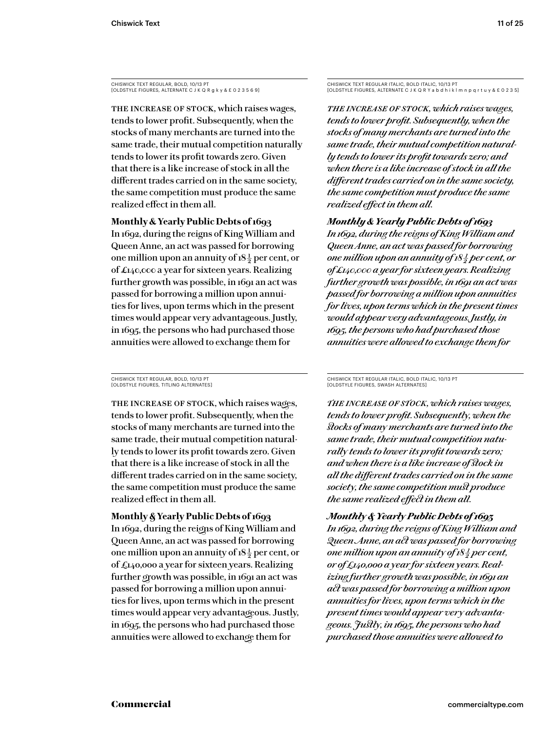CHISWICK TEXT REGULAR, BOLD, 10/13 PT [OLDSTYLE FIGURES, ALTERNATE C J K Q R g k y & £ 0 2 3 5 6 9]

The increase of stock, which raises wages, tends to lower profit. Subsequently, when the stocks of many merchants are turned into the same trade, their mutual competition naturally tends to lower its profit towards zero. Given that there is a like increase of stock in all the different trades carried on in the same society, the same competition must produce the same realized effect in them all.

## **Monthly & Yearly Public Debts of 1693**

In 1692, during the reigns of King William and Queen Anne, an act was passed for borrowing one million upon an annuity of  $18\frac{1}{2}$  per cent, or of £140,000 a year for sixteen years. Realizing further growth was possible, in 1691 an act was passed for borrowing a million upon annuities for lives, upon terms which in the present times would appear very advantageous. Justly, in 1695, the persons who had purchased those annuities were allowed to exchange them for

CHISWICK TEXT REGULAR, BOLD, 10/13 PT [OLDSTYLE FIGURES, TITLING ALTERNATES]

THE INCREASE OF STOCK, which raises wages, tends to lower profit. Subsequently, when the stocks of many merchants are turned into the same trade, their mutual competition naturally tends to lower its profit towards zero. Given that there is a like increase of stock in all the different trades carried on in the same society, the same competition must produce the same realized effect in them all.

**Monthly & Yearly Public Debts of 1693** In 1692, during the reigns of King William and Queen Anne, an act was passed for borrowing one million upon an annuity of  $18\frac{1}{2}$  per cent, or of £140,000 a year for sixteen years. Realizing further growth was possible, in 1691 an act was passed for borrowing a million upon annuities for lives, upon terms which in the present times would appear very advantageous. Justly, in 1695, the persons who had purchased those annuities were allowed to exchange them for

CHISWICK TEXT REGULAR ITALIC, BOLD ITALIC, 10/13 PT [OLDSTYLE FIGURES, ALTERNATE C J K Q R Y a b d h i k l m n p q r t u y & £ 0 2 3 5]

*The increase of stock, which raises wages, tends to lower profit. Subsequently, when the stocks of many merchants are turned into the same trade, their mutual competition naturally tends to lower its profit towards zero; and when there is a like increase of stock in all the different trades carried on in the same society, the same competition must produce the same realized effect in them all.*

## *Monthly & Yearly Public Debts of 1693*

*In 1692, during the reigns of King William and Queen Anne, an act was passed for borrowing one million upon an annuity of 18 1/2 per cent, or of £140,000 a year for sixteen years. Realizing further growth was possible, in 1691 an act was passed for borrowing a million upon annuities for lives, upon terms which in the present times would appear very advantageous. Justly, in 1695, the persons who had purchased those annuities were allowed to exchange them for* 

CHISWICK TEXT REGULAR ITALIC, BOLD ITALIC, 10/13 PT [OLDSTYLE FIGURES, SWASH ALTERNATES]

*The increase of stock, which raises wages, tends to lower profit. Subsequently, when the stocks of many merchants are turned into the same trade, their mutual competition naturally tends to lower its profit towards zero; and when there is a like increase of stock in all the different trades carried on in the same society, the same competition must produce the same realized effect in them all.*

*Monthly & Yearly Public Debts of 1693 In 1692, during the reigns of King William and Queen Anne, an act was passed for borrowing one million upon an annuity of 18* $\frac{1}{2}$  *per cent, or of £140,000 a year for sixteen years. Realizing further growth was possible, in 1691 an act was passed for borrowing a million upon annuities for lives, upon terms which in the present times would appear ver y advantageous. Justly, in 1695, the persons who had purchased those annuities were allowed to*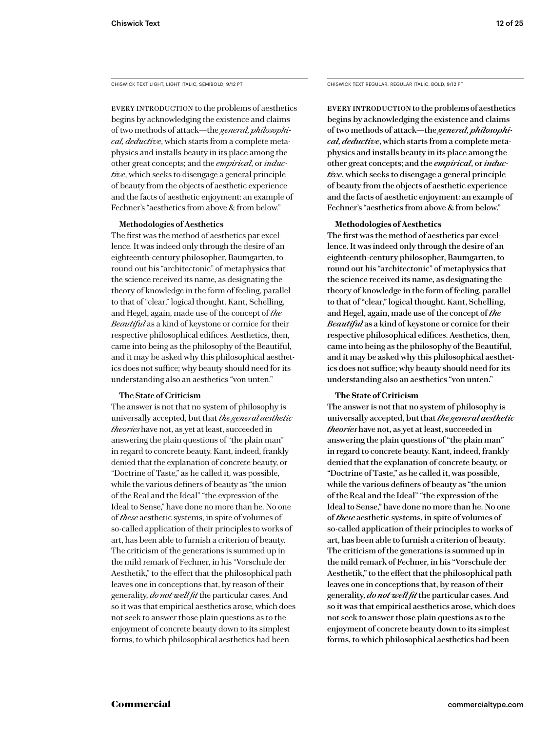CHISWICK TEXT LIGHT, LIGHT ITALIC, SEMIBOLD, 9/12 PT

EVERY INTRODUCTION to the problems of aesthetics begins by acknowledging the existence and claims of two methods of attack—the *general, philosophical, deductive*, which starts from a complete metaphysics and installs beauty in its place among the other great concepts; and the *empirical*, or *inductive*, which seeks to disengage a general principle of beauty from the objects of aesthetic experience and the facts of aesthetic enjoyment: an example of Fechner's "aesthetics from above & from below."

## **Methodologies of Aesthetics**

The first was the method of aesthetics par excellence. It was indeed only through the desire of an eighteenth-century philosopher, Baumgarten, to round out his "architectonic" of metaphysics that the science received its name, as designating the theory of knowledge in the form of feeling, parallel to that of "clear," logical thought. Kant, Schelling, and Hegel, again, made use of the concept of *the Beautiful* as a kind of keystone or cornice for their respective philosophical edifices. Aesthetics, then, came into being as the philosophy of the Beautiful, and it may be asked why this philosophical aesthetics does not suffice; why beauty should need for its understanding also an aesthetics "von unten."

## **The State of Criticism**

The answer is not that no system of philosophy is universally accepted, but that *the general aesthetic theories* have not, as yet at least, succeeded in answering the plain questions of "the plain man" in regard to concrete beauty. Kant, indeed, frankly denied that the explanation of concrete beauty, or "Doctrine of Taste," as he called it, was possible, while the various definers of beauty as "the union of the Real and the Ideal" "the expression of the Ideal to Sense," have done no more than he. No one of *these* aesthetic systems, in spite of volumes of so-called application of their principles to works of art, has been able to furnish a criterion of beauty. The criticism of the generations is summed up in the mild remark of Fechner, in his "Vorschule der Aesthetik," to the effect that the philosophical path leaves one in conceptions that, by reason of their generality, *do not well fit* the particular cases. And so it was that empirical aesthetics arose, which does not seek to answer those plain questions as to the enjoyment of concrete beauty down to its simplest forms, to which philosophical aesthetics had been

CHISWICK TEXT REGULAR, REGULAR ITALIC, BOLD, 9/12 PT

Every introduction to the problems of aesthetics begins by acknowledging the existence and claims of two methods of attack—the *general, philosophical, deductive*, which starts from a complete metaphysics and installs beauty in its place among the other great concepts; and the *empirical*, or *inductive*, which seeks to disengage a general principle of beauty from the objects of aesthetic experience and the facts of aesthetic enjoyment: an example of Fechner's "aesthetics from above & from below."

## **Methodologies of Aesthetics**

The first was the method of aesthetics par excellence. It was indeed only through the desire of an eighteenth-century philosopher, Baumgarten, to round out his "architectonic" of metaphysics that the science received its name, as designating the theory of knowledge in the form of feeling, parallel to that of "clear," logical thought. Kant, Schelling, and Hegel, again, made use of the concept of *the Beautiful* as a kind of keystone or cornice for their respective philosophical edifices. Aesthetics, then, came into being as the philosophy of the Beautiful, and it may be asked why this philosophical aesthetics does not suffice; why beauty should need for its understanding also an aesthetics "von unten."

## **The State of Criticism**

The answer is not that no system of philosophy is universally accepted, but that *the general aesthetic theories* have not, as yet at least, succeeded in answering the plain questions of "the plain man" in regard to concrete beauty. Kant, indeed, frankly denied that the explanation of concrete beauty, or "Doctrine of Taste," as he called it, was possible, while the various definers of beauty as "the union of the Real and the Ideal" "the expression of the Ideal to Sense," have done no more than he. No one of *these* aesthetic systems, in spite of volumes of so-called application of their principles to works of art, has been able to furnish a criterion of beauty. The criticism of the generations is summed up in the mild remark of Fechner, in his "Vorschule der Aesthetik," to the effect that the philosophical path leaves one in conceptions that, by reason of their generality, *do not well fit* the particular cases. And so it was that empirical aesthetics arose, which does not seek to answer those plain questions as to the enjoyment of concrete beauty down to its simplest forms, to which philosophical aesthetics had been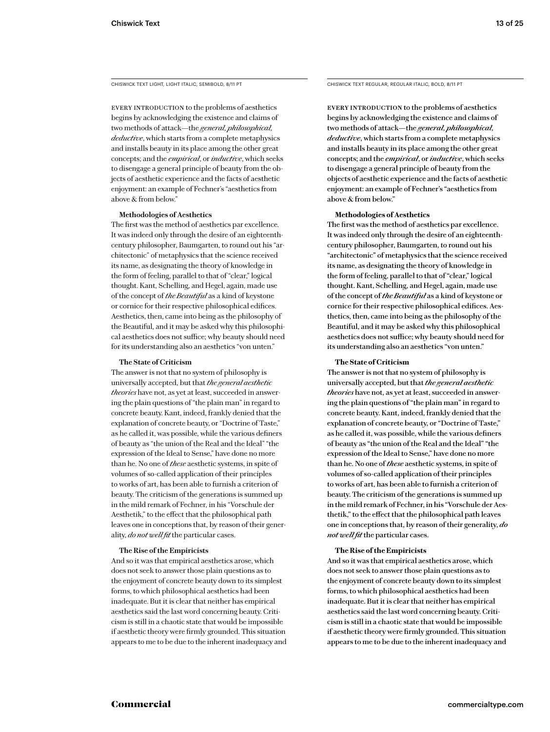CHISWICK TEXT LIGHT, LIGHT ITALIC, SEMIBOLD, 8/11 PT

EVERY INTRODUCTION to the problems of aesthetics begins by acknowledging the existence and claims of two methods of attack—the *general, philosophical, deductive*, which starts from a complete metaphysics and installs beauty in its place among the other great concepts; and the *empirical*, or *inductive*, which seeks to disengage a general principle of beauty from the objects of aesthetic experience and the facts of aesthetic enjoyment: an example of Fechner's "aesthetics from above & from below."

#### **Methodologies of Aesthetics**

The first was the method of aesthetics par excellence. It was indeed only through the desire of an eighteenthcentury philosopher, Baumgarten, to round out his "architectonic" of metaphysics that the science received its name, as designating the theory of knowledge in the form of feeling, parallel to that of "clear," logical thought. Kant, Schelling, and Hegel, again, made use of the concept of *the Beautiful* as a kind of keystone or cornice for their respective philosophical edifices. Aesthetics, then, came into being as the philosophy of the Beautiful, and it may be asked why this philosophical aesthetics does not suffice; why beauty should need for its understanding also an aesthetics "von unten."

#### **The State of Criticism**

The answer is not that no system of philosophy is universally accepted, but that *the general aesthetic theories* have not, as yet at least, succeeded in answering the plain questions of "the plain man" in regard to concrete beauty. Kant, indeed, frankly denied that the explanation of concrete beauty, or "Doctrine of Taste," as he called it, was possible, while the various definers of beauty as "the union of the Real and the Ideal" "the expression of the Ideal to Sense," have done no more than he. No one of *these* aesthetic systems, in spite of volumes of so-called application of their principles to works of art, has been able to furnish a criterion of beauty. The criticism of the generations is summed up in the mild remark of Fechner, in his "Vorschule der Aesthetik," to the effect that the philosophical path leaves one in conceptions that, by reason of their generality, *do not well fit* the particular cases.

#### **The Rise of the Empiricists**

And so it was that empirical aesthetics arose, which does not seek to answer those plain questions as to the enjoyment of concrete beauty down to its simplest forms, to which philosophical aesthetics had been inadequate. But it is clear that neither has empirical aesthetics said the last word concerning beauty. Criticism is still in a chaotic state that would be impossible if aesthetic theory were firmly grounded. This situation appears to me to be due to the inherent inadequacy and CHISWICK TEXT REGULAR, REGULAR ITALIC, BOLD, 8/11 PT

EVERY INTRODUCTION to the problems of aesthetics begins by acknowledging the existence and claims of two methods of attack—the *general, philosophical, deductive*, which starts from a complete metaphysics and installs beauty in its place among the other great concepts; and the *empirical*, or *inductive*, which seeks to disengage a general principle of beauty from the objects of aesthetic experience and the facts of aesthetic enjoyment: an example of Fechner's "aesthetics from above & from below."

#### **Methodologies of Aesthetics**

The first was the method of aesthetics par excellence. It was indeed only through the desire of an eighteenthcentury philosopher, Baumgarten, to round out his "architectonic" of metaphysics that the science received its name, as designating the theory of knowledge in the form of feeling, parallel to that of "clear," logical thought. Kant, Schelling, and Hegel, again, made use of the concept of *the Beautiful* as a kind of keystone or cornice for their respective philosophical edifices. Aesthetics, then, came into being as the philosophy of the Beautiful, and it may be asked why this philosophical aesthetics does not suffice; why beauty should need for its understanding also an aesthetics "von unten."

#### **The State of Criticism**

The answer is not that no system of philosophy is universally accepted, but that *the general aesthetic theories* have not, as yet at least, succeeded in answering the plain questions of "the plain man" in regard to concrete beauty. Kant, indeed, frankly denied that the explanation of concrete beauty, or "Doctrine of Taste," as he called it, was possible, while the various definers of beauty as "the union of the Real and the Ideal" "the expression of the Ideal to Sense," have done no more than he. No one of *these* aesthetic systems, in spite of volumes of so-called application of their principles to works of art, has been able to furnish a criterion of beauty. The criticism of the generations is summed up in the mild remark of Fechner, in his "Vorschule der Aesthetik," to the effect that the philosophical path leaves one in conceptions that, by reason of their generality, *do not well fit* the particular cases.

#### **The Rise of the Empiricists**

And so it was that empirical aesthetics arose, which does not seek to answer those plain questions as to the enjoyment of concrete beauty down to its simplest forms, to which philosophical aesthetics had been inadequate. But it is clear that neither has empirical aesthetics said the last word concerning beauty. Criticism is still in a chaotic state that would be impossible if aesthetic theory were firmly grounded. This situation appears to me to be due to the inherent inadequacy and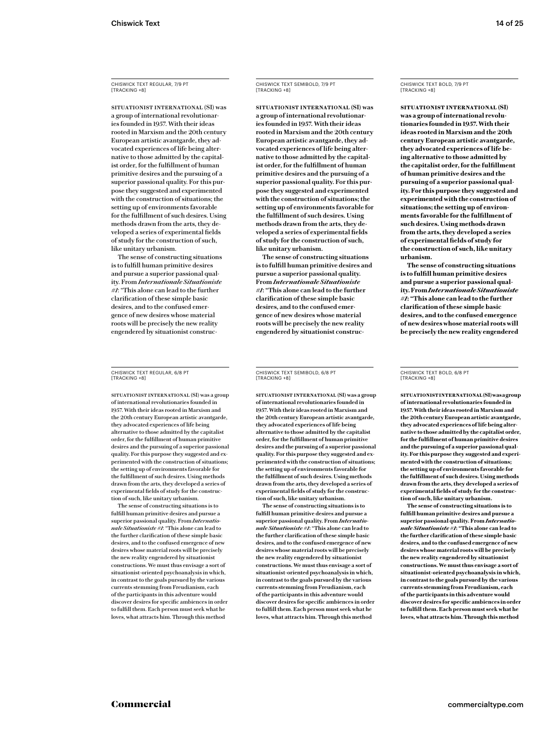SITUATIONIST INTERNATIONAL (SI) was a group of international revolutionaries founded in 1957. With their ideas rooted in Marxism and the 20th century European artistic avantgarde, they advocated experiences of life being alternative to those admitted by the capitalist order, for the fulfillment of human primitive desires and the pursuing of a superior passional quality. For this purpose they suggested and experimented with the construction of situations; the setting up of environments favorable for the fulfillment of such desires. Using methods drawn from the arts, they developed a series of experimental fields of study for the construction of such, like unitary urbanism.

The sense of constructing situations is to fulfill human primitive desires and pursue a superior passional quality. From *Internationale Situationiste #1*: "This alone can lead to the further clarification of these simple basic desires, and to the confused emergence of new desires whose material roots will be precisely the new reality engendered by situationist construc-

CHISWICK TEXT REGULAR, 6/8 PT [TRACKING +8]

SITUATIONIST INTERNATIONAL (SI) was a group of international revolutionaries founded in 1957. With their ideas rooted in Marxism and the 20th century European artistic avantgarde, they advocated experiences of life being alternative to those admitted by the capitalist order, for the fulfillment of human primitive desires and the pursuing of a superior passional quality. For this purpose they suggested and experimented with the construction of situations; the setting up of environments favorable for the fulfillment of such desires. Using methods drawn from the arts, they developed a series of experimental fields of study for the construction of such, like unitary urbanism.

The sense of constructing situations is to fulfill human primitive desires and pursue a superior passional quality. From *Internationale Situationiste #1*: "This alone can lead to the further clarification of these simple basic desires, and to the confused emergence of new desires whose material roots will be precisely the new reality engendered by situationist constructions. We must thus envisage a sort of situationist-oriented psychoanalysis in which, in contrast to the goals pursued by the various currents stemming from Freudianism, each of the participants in this adventure would discover desires for specific ambiences in order to fulfill them. Each person must seek what he loves, what attracts him. Through this method

# CHISWICK TEXT SEMIBOLD, 7/9 PT [TRACKING +8]

**SITUATIONIST INTERNATIONAL (SI) was a group of international revolutionaries founded in 1957. With their ideas rooted in Marxism and the 20th century European artistic avantgarde, they advocated experiences of life being alternative to those admitted by the capitalist order, for the fulfillment of human primitive desires and the pursuing of a superior passional quality. For this purpose they suggested and experimented with the construction of situations; the setting up of environments favorable for the fulfillment of such desires. Using methods drawn from the arts, they developed a series of experimental fields of study for the construction of such, like unitary urbanism.**

**The sense of constructing situations is to fulfill human primitive desires and pursue a superior passional quality. From** *Internationale Situationiste #1***: "This alone can lead to the further clarification of these simple basic desires, and to the confused emergence of new desires whose material roots will be precisely the new reality engendered by situationist construc-**

CHISWICK TEXT SEMIBOLD, 6/8 PT [TRACKING +8]

**SITUATIONIST INTERNATIONAL (SI) was a group of international revolutionaries founded in 1957. With their ideas rooted in Marxism and the 20th century European artistic avantgarde, they advocated experiences of life being alternative to those admitted by the capitalist order, for the fulfillment of human primitive desires and the pursuing of a superior passional quality. For this purpose they suggested and experimented with the construction of situations; the setting up of environments favorable for the fulfillment of such desires. Using methods drawn from the arts, they developed a series of experimental fields of study for the construction of such, like unitary urbanism.**

**The sense of constructing situations is to fulfill human primitive desires and pursue a superior passional quality. From** *Internationale Situationiste #1***: "This alone can lead to the further clarification of these simple basic desires, and to the confused emergence of new desires whose material roots will be precisely the new reality engendered by situationist constructions. We must thus envisage a sort of situationist-oriented psychoanalysis in which, in contrast to the goals pursued by the various currents stemming from Freudianism, each of the participants in this adventure would discover desires for specific ambiences in order to fulfill them. Each person must seek what he loves, what attracts him. Through this method** 

CHISWICK TEXT BOLD, 7/9 PT [TRACKING +8]

**SITUATIONIST INTERNATIONAL (SI) was a group of international revolutionaries founded in 1957. With their ideas rooted in Marxism and the 20th century European artistic avantgarde, they advocated experiences of life being alternative to those admitted by the capitalist order, for the fulfillment of human primitive desires and the pursuing of a superior passional quality. For this purpose they suggested and experimented with the construction of situations; the setting up of environments favorable for the fulfillment of such desires. Using methods drawn from the arts, they developed a series of experimental fields of study for the construction of such, like unitary urbanism.**

**The sense of constructing situations is to fulfill human primitive desires and pursue a superior passional quality. From** *Internationale Situationiste #1***: "This alone can lead to the further clarification of these simple basic desires, and to the confused emergence of new desires whose material roots will be precisely the new reality engendered** 

#### CHISWICK TEXT BOLD, 6/8 PT [TRACKING +8]

**SITUATIONISTINTERNATIONAL(SI) was a group of international revolutionaries founded in 1957. With their ideas rooted in Marxism and the 20th century European artistic avantgarde, they advocated experiences of life being alternative to those admitted by the capitalist order, for the fulfillment of human primitive desires and the pursuing of a superior passional quality. For this purpose they suggested and experimented with the construction of situations; the setting up of environments favorable for the fulfillment of such desires. Using methods drawn from the arts, they developed a series of experimental fields of study for the construction of such, like unitary urbanism.**

**The sense of constructing situations is to fulfill human primitive desires and pursue a superior passional quality. From** *Internationale Situationiste #1***: "This alone can lead to the further clarification of these simple basic desires, and to the confused emergence of new desires whose material roots will be precisely the new reality engendered by situationist constructions. We must thus envisage a sort of situationist-oriented psychoanalysis in which, in contrast to the goals pursued by the various currents stemming from Freudianism, each of the participants in this adventure would discover desires for specific ambiences in order to fulfill them. Each person must seek what he loves, what attracts him. Through this method**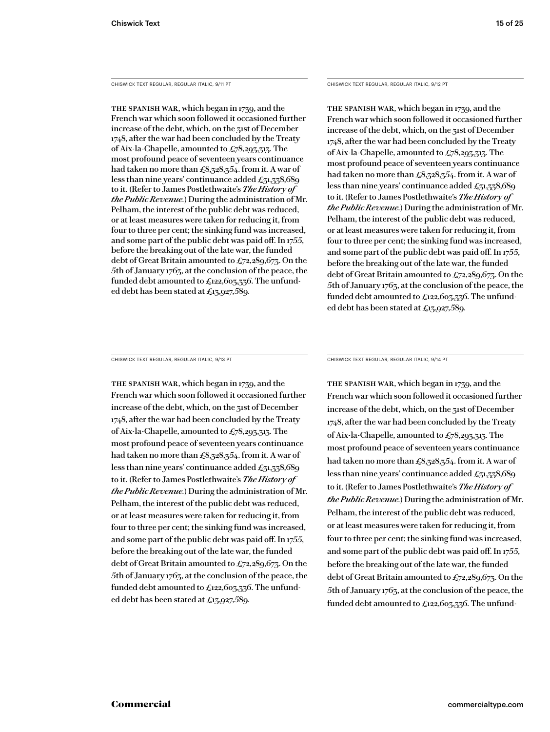CHISWICK TEXT REGULAR, REGULAR ITALIC, 9/11 PT

The Spanish War, which began in 1739, and the French war which soon followed it occasioned further increase of the debt, which, on the 31st of December 1748, after the war had been concluded by the Treaty of Aix-la-Chapelle, amounted to £78,293,313. The most profound peace of seventeen years continuance had taken no more than  $\pounds8,328,354$ . from it. A war of less than nine years' continuance added  $\pounds_{31,33}8,689$ to it. (Refer to James Postlethwaite's *The Histor y of the Public Revenue.*) During the administration of Mr. Pelham, the interest of the public debt was reduced, or at least measures were taken for reducing it, from four to three per cent; the sinking fund was increased, and some part of the public debt was paid off. In 1755, before the breaking out of the late war, the funded debt of Great Britain amounted to £72,289,673. On the 5th of January 1763, at the conclusion of the peace, the funded debt amounted to £122,603,336. The unfunded debt has been stated at £13,927,589.

CHISWICK TEXT REGULAR, REGULAR ITALIC, 9/12 PT

The Spanish War, which began in 1739, and the French war which soon followed it occasioned further increase of the debt, which, on the 31st of December 1748, after the war had been concluded by the Treaty of Aix-la-Chapelle, amounted to  $\pounds 78,293,313$ . The most profound peace of seventeen years continuance had taken no more than  $\pounds8,328,354$ . from it. A war of less than nine years' continuance added  $\pounds_{31,37}8,689$ to it. (Refer to James Postlethwaite's *The Histor y of the Public Revenue.*) During the administration of Mr. Pelham, the interest of the public debt was reduced, or at least measures were taken for reducing it, from four to three per cent; the sinking fund was increased, and some part of the public debt was paid off. In 1755, before the breaking out of the late war, the funded debt of Great Britain amounted to £72,289,673. On the 5th of January 1763, at the conclusion of the peace, the funded debt amounted to £122,603,336. The unfunded debt has been stated at £13,927,589.

CHISWICK TEXT REGULAR, REGULAR ITALIC, 9/13 PT

The Spanish War, which began in 1739, and the French war which soon followed it occasioned further increase of the debt, which, on the 31st of December 1748, after the war had been concluded by the Treaty of Aix-la-Chapelle, amounted to  $\pounds$ 78,293,313. The most profound peace of seventeen years continuance had taken no more than  $\pounds8,328,354$ . from it. A war of less than nine years' continuance added  $\pounds_{31,37}8,689$ to it. (Refer to James Postlethwaite's *The Histor y of the Public Revenue.*) During the administration of Mr. Pelham, the interest of the public debt was reduced, or at least measures were taken for reducing it, from four to three per cent; the sinking fund was increased, and some part of the public debt was paid off. In 1755, before the breaking out of the late war, the funded debt of Great Britain amounted to £72,289,673. On the 5th of January 1763, at the conclusion of the peace, the funded debt amounted to  $\pounds$ 122,603,336. The unfunded debt has been stated at £13,927,589.

CHISWICK TEXT REGULAR, REGULAR ITALIC, 9/14 PT

The Spanish War, which began in 1739, and the French war which soon followed it occasioned further increase of the debt, which, on the 31st of December 1748, after the war had been concluded by the Treaty of Aix-la-Chapelle, amounted to  $\pounds$ 78,293,313. The most profound peace of seventeen years continuance had taken no more than  $\pounds8,328,354$ . from it. A war of less than nine years' continuance added  $\pounds_{31,33}8,689$ to it. (Refer to James Postlethwaite's *The Histor y of the Public Revenue.*) During the administration of Mr. Pelham, the interest of the public debt was reduced, or at least measures were taken for reducing it, from four to three per cent; the sinking fund was increased, and some part of the public debt was paid off. In 1755, before the breaking out of the late war, the funded debt of Great Britain amounted to £72,289,673. On the 5th of January 1763, at the conclusion of the peace, the funded debt amounted to £122,603,336. The unfund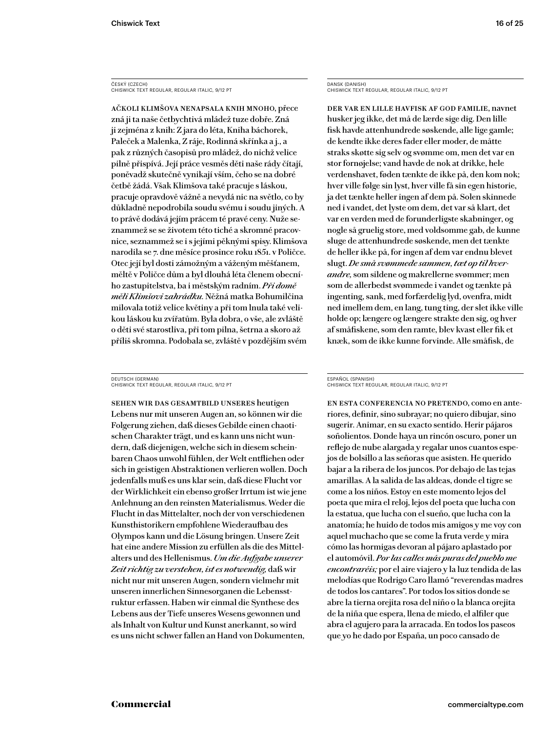ČESKÝ (CZECH) CHISWICK TEXT REGULAR, REGULAR ITALIC, 9/12 PT

Ačkoli klimšova nenapsala knih mnoho, přece zná ji ta naše četbychtivá mládež tuze dobře. Zná ji zejména z knih: Z jara do léta, Kniha báchorek, Paleček a Malenka, Z ráje, Rodinná skřínka a j., a pak z různých časopisů pro mládež, do nichž velice pilně přispívá. Její práce vesměs děti naše rády čítají, poněvadž skutečně vynikají vším, čeho se na dobré četbě žádá. Však Klimšova také pracuje s láskou, pracuje opravdově vážně a nevydá nic na světlo, co by důkladně nepodrobila soudu svému i soudu jiných. A to právě dodává jejím prácem té pravé ceny. Nuže seznammež se se životem této tiché a skromné pracovnice, seznammež se i s jejími pěknými spisy. Klimšova narodila se 7. dne měsíce prosince roku 1851. v Poličce. Otec její byl dosti zámožným a váženým měšťanem, měltě v Poličce dům a byl dlouhá léta členem obecního zastupitelstva, ba i městským radním. *Při domě měli Klimšovi zahrádku.* Něžná matka Bohumilčina milovala totiž velice květiny a při tom lnula také velikou láskou ku zvířatům. Byla dobra, o vše, ale zvláště o děti své starostliva, při tom pilna, šetrna a skoro až příliš skromna. Podobala se, zvláště v pozdějším svém

DEUTSCH (GERMAN) CHISWICK TEXT REGULAR, REGULAR ITALIC, 9/12 PT

Sehen wir das Gesamtbild unseres heutigen Lebens nur mit unseren Augen an, so können wir die Folgerung ziehen, daß dieses Gebilde einen chaotischen Charakter trägt, und es kann uns nicht wundern, daß diejenigen, welche sich in diesem scheinbaren Chaos unwohl fühlen, der Welt entfliehen oder sich in geistigen Abstraktionen verlieren wollen. Doch jedenfalls muß es uns klar sein, daß diese Flucht vor der Wirklichkeit ein ebenso großer Irrtum ist wie jene Anlehnung an den reinsten Materialismus. Weder die Flucht in das Mittelalter, noch der von verschiedenen Kunsthistorikern empfohlene Wiederaufbau des Olympos kann und die Lösung bringen. Unsere Zeit hat eine andere Mission zu erfüllen als die des Mittelalters und des Hellenismus. *Um die Aufgabe unserer Zeit richtig zu verstehen, ist es notwendig,* daß wir nicht nur mit unseren Augen, sondern vielmehr mit unseren innerlichen Sinnesorganen die Lebensstruktur erfassen. Haben wir einmal die Synthese des Lebens aus der Tiefe unseres Wesens gewonnen und als Inhalt von Kultur und Kunst anerkannt, so wird es uns nicht schwer fallen an Hand von Dokumenten,

DANSK (DANISH) CHISWICK TEXT REGULAR, REGULAR ITALIC, 9/12 PT

Der var en lille havfisk af god familie, navnet husker jeg ikke, det må de lærde sige dig. Den lille fisk havde attenhundrede søskende, alle lige gamle; de kendte ikke deres fader eller moder, de måtte straks skøtte sig selv og svømme om, men det var en stor fornøjelse; vand havde de nok at drikke, hele verdenshavet, føden tænkte de ikke på, den kom nok; hver ville følge sin lyst, hver ville få sin egen historie, ja det tænkte heller ingen af dem på. Solen skinnede ned i vandet, det lyste om dem, det var så klart, det var en verden med de forunderligste skabninger, og nogle så gruelig store, med voldsomme gab, de kunne sluge de attenhundrede søskende, men det tænkte de heller ikke på, for ingen af dem var endnu blevet slugt. *De små svømmede sammen, tæt op til hverandre,* som sildene og makrellerne svømmer; men som de allerbedst svømmede i vandet og tænkte på ingenting, sank, med forfærdelig lyd, ovenfra, midt ned imellem dem, en lang, tung ting, der slet ikke ville holde op; længere og længere strakte den sig, og hver af småfiskene, som den ramte, blev kvast eller fik et knæk, som de ikke kunne forvinde. Alle småfisk, de

#### ESPAÑOL (SPANISH) CHISWICK TEXT REGULAR, REGULAR ITALIC, 9/12 PT

En esta conferencia no pretendo, como en anteriores, definir, sino subrayar; no quiero dibujar, sino sugerir. Animar, en su exacto sentido. Herir pájaros soñolientos. Donde haya un rincón oscuro, poner un reflejo de nube alargada y regalar unos cuantos espejos de bolsillo a las señoras que asisten. He querido bajar a la ribera de los juncos. Por debajo de las tejas amarillas. A la salida de las aldeas, donde el tigre se come a los niños. Estoy en este momento lejos del poeta que mira el reloj, lejos del poeta que lucha con la estatua, que lucha con el sueño, que lucha con la anatomía; he huido de todos mis amigos y me voy con aquel muchacho que se come la fruta verde y mira cómo las hormigas devoran al pájaro aplastado por el automóvil. *Por las calles más puras del pueblo me encontraréis;* por el aire viajero y la luz tendida de las melodías que Rodrigo Caro llamó "reverendas madres de todos los cantares". Por todos los sitios donde se abre la tierna orejita rosa del niño o la blanca orejita de la niña que espera, llena de miedo, el alfiler que abra el agujero para la arracada. En todos los paseos que yo he dado por España, un poco cansado de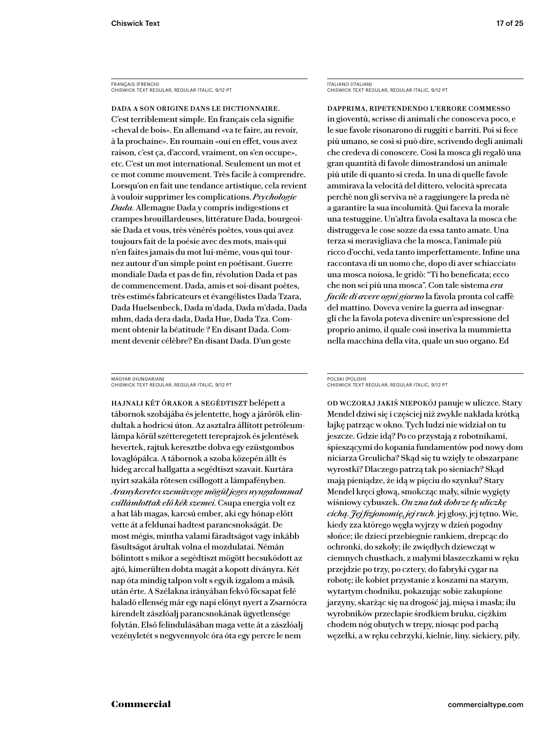FRANÇAIS (FRENCH) CHISWICK TEXT REGULAR, REGULAR ITALIC, 9/12 PT

Dada a son origine dans le dictionnaire. C'est terriblement simple. En français cela signifie «cheval de bois». En allemand «va te faire, au revoir, à la prochaine». En roumain «oui en effet, vous avez raison, c'est ça, d'accord, vraiment, on s'en occupe», etc. C'est un mot international. Seulement un mot et ce mot comme mouvement. Très facile à comprendre. Lorsqu'on en fait une tendance artistique, cela revient à vouloir supprimer les complications. *Psychologie Dada.* Allemagne Dada y compris indigestions et crampes brouillardeuses, littérature Dada, bourgeoisie Dada et vous, très vénérés poètes, vous qui avez toujours fait de la poésie avec des mots, mais qui n'en faites jamais du mot lui-même, vous qui tournez autour d'un simple point en poétisant. Guerre mondiale Dada et pas de fin, révolution Dada et pas de commencement. Dada, amis et soi-disant poètes, très estimés fabricateurs et évangélistes Dada Tzara, Dada Huelsenbeck, Dada m'dada, Dada m'dada, Dada mhm, dada dera dada, Dada Hue, Dada Tza. Comment obtenir la béatitude ? En disant Dada. Comment devenir célèbre? En disant Dada. D'un geste

MAGYAR (HUNGARIAN) CHISWICK TEXT REGULAR, REGULAR ITALIC, 9/12 PT

Hajnali két órakor a segédtiszt belépett a tábornok szobájába és jelentette, hogy a járőrök elindultak a hodricsi úton. Az asztalra állított petróleumlámpa körül szétteregetett tereprajzok és jelentések hevertek, rajtuk keresztbe dobva egy ezüstgombos lovaglópálca. A tábornok a szoba közepén állt és hideg arccal hallgatta a segédtiszt szavait. Kurtára nyírt szakála rőtesen csillogott a lámpafényben. *Aranykeretes szemüvege mögül jeges nyugalommal csillámlottak elő kék szemei.* Csupa energia volt ez a hat láb magas, karcsú ember, aki egy hónap előtt vette át a feldunai hadtest parancsnokságát. De most mégis, mintha valami fáradtságot vagy inkább fásultságot árultak volna el mozdulatai. Némán bólintott s mikor a segédtiszt mögött becsukódott az ajtó, kimerülten dobta magát a kopott díványra. Két nap óta mindig talpon volt s egyik izgalom a másik után érte. A Szélakna irányában fekvő főcsapat felé haladó ellenség már egy napi előnyt nyert a Zsarnócra kirendelt zászlóalj parancsnokának ügyetlensége folytán. Első felindulásában maga vette át a zászlóalj vezényletét s negyvennyolc óra óta egy percre le nem

ITALIANO (ITALIAN) CHISWICK TEXT REGULAR, REGULAR ITALIC, 9/12 PT

Dapprima, ripetendendo l'errore commesso in gioventù, scrisse di animali che conosceva poco, e le sue favole risonarono di ruggiti e barriti. Poi si fece più umano, se così si può dire, scrivendo degli animali che credeva di conoscere. Così la mosca gli regalò una gran quantità di favole dimostrandosi un animale più utile di quanto si creda. In una di quelle favole ammirava la velocità del dittero, velocità sprecata perchè non gli serviva nè a raggiungere la preda nè a garantire la sua incolumità. Qui faceva la morale una testuggine. Un'altra favola esaltava la mosca che distruggeva le cose sozze da essa tanto amate. Una terza si meravigliava che la mosca, l'animale più ricco d'occhi, veda tanto imperfettamente. Infine una raccontava di un uomo che, dopo di aver schiacciato una mosca noiosa, le gridò: "Ti ho beneficata; ecco che non sei più una mosca". Con tale sistema *era facile di avere ogni giorno* la favola pronta col caffè del mattino. Doveva venire la guerra ad insegnargli che la favola poteva divenire un'espressione del proprio animo, il quale così inseriva la mummietta nella macchina della vita, quale un suo organo. Ed

#### POLSKI (POLISH) CHISWICK TEXT REGULAR, REGULAR ITALIC, 9/12 PT

Od wczoraj jakiś niepokój panuje w uliczce. Stary Mendel dziwi się i częściej niż zwykle nakłada krótką łajkę patrząc w okno. Tych ludzi nie widział on tu jeszcze. Gdzie idą? Po co przystają z robotnikami, śpieszącymi do kopania fundamentów pod nowy dom niciarza Greulicha? Skąd się tu wzięły te obszarpane wyrostki? Dlaczego patrzą tak po sieniach? Skąd mają pieniądze, że idą w pięciu do szynku? Stary Mendel kręci głową, smokcząc mały, silnie wygięty wiśniowy cybuszek. *On zna tak dobrze tę uliczkę cichą. Jej fizjonomię, jej ruch.* jej głosy, jej tętno. Wie, kiedy zza którego węgła wyjrzy w dzień pogodny słońce; ile dzieci przebiegnie rankiem, drepcąc do ochronki, do szkoły; ile zwiędłych dziewcząt w ciemnych chustkach, z małymi blaszeczkami w ręku przejdzie po trzy, po cztery, do fabryki cygar na robotę; ile kobiet przystanie z koszami na starym, wytartym chodniku, pokazując sobie zakupione jarzyny, skarżąc się na drogość jaj, mięsa i masła; ilu wyrobników przecłapie środkiem bruku, ciężkim chodem nóg obutych w trepy, niosąc pod pachą węzełki, a w ręku cebrzyki, kielnie, liny. siekiery, piły.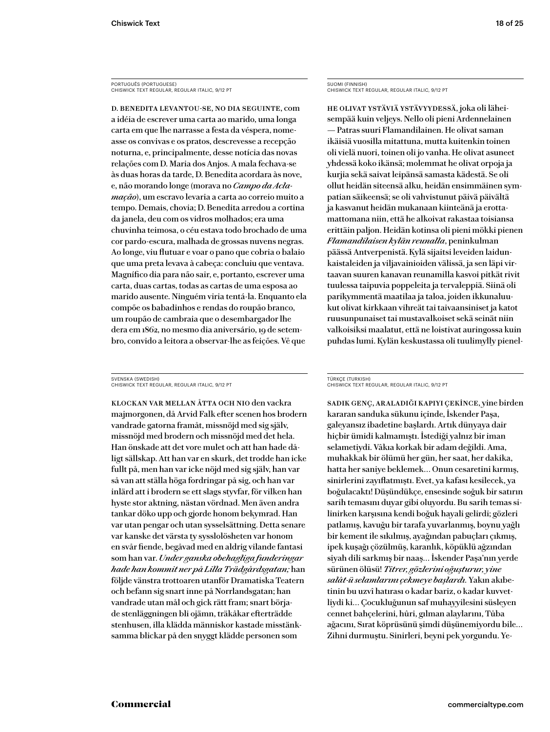PORTUGUÊS (PORTUGUESE) CHISWICK TEXT REGULAR, REGULAR ITALIC, 9/12 PT

D. Benedita levantou-se, no dia seguinte, com a idéia de escrever uma carta ao marido, uma longa carta em que lhe narrasse a festa da véspera, nomeasse os convivas e os pratos, descrevesse a recepção noturna, e, principalmente, desse notícia das novas relações com D. Maria dos Anjos. A mala fechava-se às duas horas da tarde, D. Benedita acordara às nove, e, não morando longe (morava no *Campo da Aclamação*), um escravo levaria a carta ao correio muito a tempo. Demais, chovia; D. Benedita arredou a cortina da janela, deu com os vidros molhados; era uma chuvinha teimosa, o céu estava todo brochado de uma cor pardo-escura, malhada de grossas nuvens negras. Ao longe, viu flutuar e voar o pano que cobria o balaio que uma preta levava à cabeça: concluiu que ventava. Magnífico dia para não sair, e, portanto, escrever uma carta, duas cartas, todas as cartas de uma esposa ao marido ausente. Ninguém viria tentá-la. Enquanto ela compõe os babadinhos e rendas do roupão branco, um roupão de cambraia que o desembargador lhe dera em 1862, no mesmo dia aniversário, 19 de setembro, convido a leitora a observar-lhe as feições. Vê que

SVENSKA (SWEDISH) CHISWICK TEXT REGULAR, REGULAR ITALIC, 9/12 PT

Klockan var mellan åtta och nio den vackra majmorgonen, då Arvid Falk efter scenen hos brodern vandrade gatorna framåt, missnöjd med sig själv, missnöjd med brodern och missnöjd med det hela. Han önskade att det vore mulet och att han hade dåligt sällskap. Att han var en skurk, det trodde han icke fullt på, men han var icke nöjd med sig själv, han var så van att ställa höga fordringar på sig, och han var inlärd att i brodern se ett slags styvfar, för vilken han hyste stor aktning, nästan vördnad. Men även andra tankar döko upp och gjorde honom bekymrad. Han var utan pengar och utan sysselsättning. Detta senare var kanske det värsta ty sysslolösheten var honom en svår fiende, begåvad med en aldrig vilande fantasi som han var. *Under ganska obehagliga funderingar hade han kommit ner på Lilla Trädgårdsgatan;* han följde vänstra trottoaren utanför Dramatiska Teatern och befann sig snart inne på Norrlandsgatan; han vandrade utan mål och gick rätt fram; snart började stenläggningen bli ojämn, träkåkar efterträdde stenhusen, illa klädda människor kastade misstänksamma blickar på den snyggt klädde personen som

SUOMI (FINNISH) CHISWICK TEXT REGULAR, REGULAR ITALIC, 9/12 PT

He olivat ystäviä ystävyydessä, joka oli läheisempää kuin veljeys. Nello oli pieni Ardennelainen — Patras suuri Flamandilainen. He olivat saman ikäisiä vuosilla mitattuna, mutta kuitenkin toinen oli vielä nuori, toinen oli jo vanha. He olivat asuneet yhdessä koko ikänsä; molemmat he olivat orpoja ja kurjia sekä saivat leipänsä samasta kädestä. Se oli ollut heidän siteensä alku, heidän ensimmäinen sympatian säikeensä; se oli vahvistunut päivä päivältä ja kasvanut heidän mukanaan kiinteänä ja erottamattomana niin, että he alkoivat rakastaa toisiansa erittäin paljon. Heidän kotinsa oli pieni mökki pienen *Flamandilaisen kylän reunalla*, peninkulman päässä Antverpenistä. Kylä sijaitsi leveiden laidunkaistaleiden ja viljavainioiden välissä, ja sen läpi virtaavan suuren kanavan reunamilla kasvoi pitkät rivit tuulessa taipuvia poppeleita ja tervaleppiä. Siinä oli parikymmentä maatilaa ja taloa, joiden ikkunaluukut olivat kirkkaan vihreät tai taivaansiniset ja katot ruusunpunaiset tai mustavalkoiset sekä seinät niin valkoisiksi maalatut, että ne loistivat auringossa kuin puhdas lumi. Kylän keskustassa oli tuulimylly pienel-

#### TÜRKÇE (TURKISH) CHISWICK TEXT REGULAR, REGULAR ITALIC, 9/12 PT

Sadık genç, araladığı kapıyı çekince, yine birden kararan sanduka sükunu içinde, İskender Paşa, galeyansız ibadetine başlardı. Artık dünyaya dair hiçbir ümidi kalmamıştı. İstediği yalnız bir iman selametiydi. Vâkıa korkak bir adam değildi. Ama, muhakkak bir ölümü her gün, her saat, her dakika, hatta her saniye beklemek… Onun cesaretini kırmış, sinirlerini zayıflatmıştı. Evet, ya kafası kesilecek, ya boğulacaktı! Düşündükçe, ensesinde soğuk bir satırın sarih temasını duyar gibi oluyordu. Bu sarih temas silinirken karşısına kendi boğuk hayali gelirdi; gözleri patlamış, kavuğu bir tarafa yuvarlanmış, boynu yağlı bir kement ile sıkılmış, ayağından pabuçları çıkmış, ipek kuşağı çözülmüş, karanlık, köpüklü ağzından siyah dili sarkmış bir naaş… İskender Paşa'nın yerde sürünen ölüsü! *Titrer, gözlerini oğuşturur, yine salât-ü selamlarını çekmeye başlardı.* Yakın akıbetinin bu uzvî hatırası o kadar bariz, o kadar kuvvetliydi ki… Çocukluğunun saf muhayyilesini süsleyen cennet bahçelerini, hûri, gılman alaylarını, Tûba ağacını, Sırat köprüsünü şimdi düşünemiyordu bile… Zihni durmuştu. Sinirleri, beyni pek yorgundu. Ye-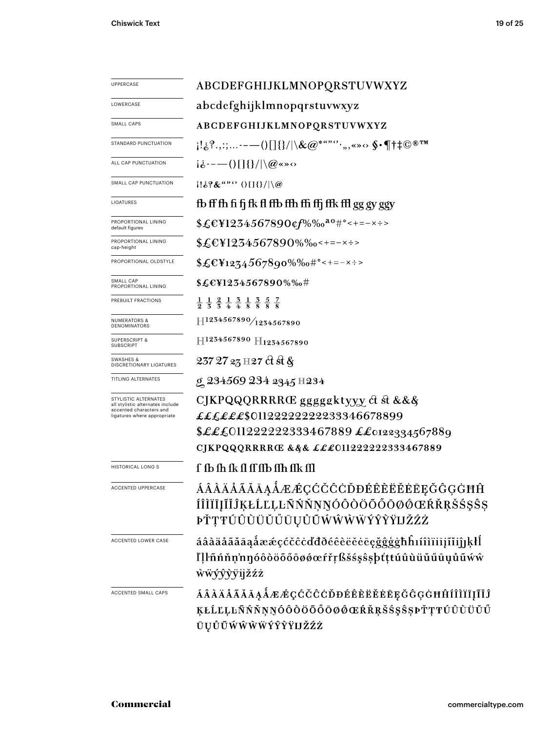| <b>UPPERCASE</b>                                                                                                   | ABCDEFGHIJKLMNOPQRSTUVWXYZ                                                                                                                                                                                                                                                                                                                                                                                                                                                                                                                                         |
|--------------------------------------------------------------------------------------------------------------------|--------------------------------------------------------------------------------------------------------------------------------------------------------------------------------------------------------------------------------------------------------------------------------------------------------------------------------------------------------------------------------------------------------------------------------------------------------------------------------------------------------------------------------------------------------------------|
| LOWERCASE                                                                                                          | abcdefghijklmnopqrstuvwxyz                                                                                                                                                                                                                                                                                                                                                                                                                                                                                                                                         |
| SMALL CAPS                                                                                                         | ABCDEFGHIJKLMNOPQRSTUVWXYZ                                                                                                                                                                                                                                                                                                                                                                                                                                                                                                                                         |
| STANDARD PUNCTUATION                                                                                               | $\{ \cdot_{\hat{e}}^2, \ldots \cdot - \cdot() \} \} /  \setminus \& @^{***'}\cdot \ldots \times \$ \cdot \P \dagger \ddagger \mathbb{O}^{\circledast \mathrm{TM}}$                                                                                                                                                                                                                                                                                                                                                                                                 |
| ALL CAP PUNCTUATION                                                                                                | $i\dot{\delta}$ ----()[]{}/ \@«»<>                                                                                                                                                                                                                                                                                                                                                                                                                                                                                                                                 |
| SMALL CAP PUNCTUATION                                                                                              | $1! \& ? \&$ "" $0 \times 1 \times 1$ ()                                                                                                                                                                                                                                                                                                                                                                                                                                                                                                                           |
| LIGATURES                                                                                                          | fb ff fh fi fj fk fl ffb ffh ffi ffj ffk ffl gg gy ggy                                                                                                                                                                                                                                                                                                                                                                                                                                                                                                             |
| PROPORTIONAL LINING<br>default figures                                                                             | $$ \pounds \mathbb{E} 1 2 3 4 5 6 7 8 9 0$ cf%‰ $^{\mathsf{a}\mathsf{o}}$ #°<+=-×÷>                                                                                                                                                                                                                                                                                                                                                                                                                                                                                |
| PROPORTIONAL LINING<br>cap-height                                                                                  | $$£EY1234567890\%$ %0<+=-x÷>                                                                                                                                                                                                                                                                                                                                                                                                                                                                                                                                       |
| PROPORTIONAL OLDSTYLE                                                                                              | $$£EY1274567890\%$ %0#°<+=-x÷>                                                                                                                                                                                                                                                                                                                                                                                                                                                                                                                                     |
| SMALL CAP<br>PROPORTIONAL LINING                                                                                   | \$£E¥1234567890%‰#                                                                                                                                                                                                                                                                                                                                                                                                                                                                                                                                                 |
| PREBUILT FRACTIONS                                                                                                 | $\frac{1}{2}$ $\frac{1}{3}$ $\frac{2}{3}$ $\frac{1}{4}$ $\frac{3}{4}$ $\frac{1}{8}$ $\frac{3}{8}$ $\frac{5}{8}$ $\frac{7}{8}$                                                                                                                                                                                                                                                                                                                                                                                                                                      |
| <b>NUMERATORS &amp;</b><br><b>DENOMINATORS</b>                                                                     | $\left. \right. \left. \left. \right. \left. \right. \left. \right. \left. \left. \right. \left. \right. \left. \left. \right. \right. \left. \left. \right. \left. \right. \left. \left. \right. \right. \left. \left. \right. \left. \right. \left. \right. \left. \left. \right. \right. \left. \left. \right. \left. \right. \left. \left. \right. \right. \left. \left. \right. \left. \left. \right. \right. \left. \left. \right. \left. \right. \left. \left. \right. \right. \left. \left. \right. \left. \left. \right. \right. \left. \left. \right. \$ |
| <b>SUPERSCRIPT &amp;</b><br><b>SUBSCRIPT</b>                                                                       | H1234567890 H1234567890                                                                                                                                                                                                                                                                                                                                                                                                                                                                                                                                            |
| SWASHES &<br>DISCRETIONARY LIGATURES                                                                               | 237 27 23 H 27 ct st &                                                                                                                                                                                                                                                                                                                                                                                                                                                                                                                                             |
| TITLING ALTERNATES                                                                                                 | g 234569 234 2345 H234                                                                                                                                                                                                                                                                                                                                                                                                                                                                                                                                             |
| STYLISTIC ALTERNATES<br>all stylistic alternates include<br>accented characters and<br>ligatures where appropriate | CJKPQQQRRRRŒ gggggktyyy ct st &&&<br>££££££\$01122222222233346678899<br>\$LL£011222222333467889    ££0122334567889<br>CJKPQQQRRRRŒ & § & £££011222222333467889                                                                                                                                                                                                                                                                                                                                                                                                     |
| <b>HISTORICAL LONG S</b>                                                                                           | f fb fh fk fl ff ffb ffh ffk ffl                                                                                                                                                                                                                                                                                                                                                                                                                                                                                                                                   |
| <b>ACCENTED UPPERCASE</b>                                                                                          | ÁÂÀÄÅÃĂĀĄÅÆÆÇĆČĈĊĎĐÉÊÈËĔĖĒĘĞĜĢĠĦĤ<br>ÍÎÌÏĪĮĨĬĴĶŁĹĽĻĿÑŃŇŅŊÓÔÒÖŐŐŌØØŒŔŘŖŠŚŞŜŞ<br>ÞŤŢŦÚÛÙŬŬŬŨŲŮŨŴŴŴŴÝŶŶŸIJŽŹŻ                                                                                                                                                                                                                                                                                                                                                                                                                                                         |
| ACCENTED LOWER CASE                                                                                                | áâàäåãăāąåææçćčĉċďđðéêèëĕēe <u>gğġġ</u> ħĥıíîìïiijĩĭiĵıķłĺ<br>ľļŀñńňņ'nŋóôòöőőøø@efřŗßšśşŝşþtţtúûùüŭűūyůũẃŵ<br>wwyyyyijžźż                                                                                                                                                                                                                                                                                                                                                                                                                                         |
| ACCENTED SMALL CAPS                                                                                                | <i>ÁÂÀÄÅÃĂĀĄÅÆÆÇĆČĈĊĎĐÉÊÈËĚĖĒĘĞĜĢĠĦĤÍÎÌÏĪĮĨĬĴ</i><br>ĶŁĹĽĻĿÑŃŇŅŊÓÔŎŎŐŐŌØŐŒŔŘŖŠŚŞŜŞÞŤŢŦÚÛÙŬŬŰ<br>ŪŲŮŨŴŴŴŴÝŶŶŸIJŽŹŻ                                                                                                                                                                                                                                                                                                                                                                                                                                                  |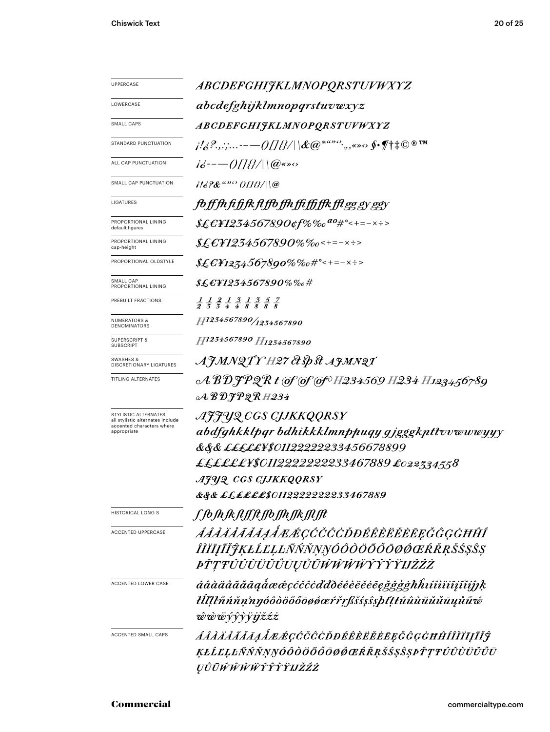| <b>UPPERCASE</b>                                         | ABCDEFGHIJKLMNOPQRSTUVWXYZ                                                                                                    |  |  |
|----------------------------------------------------------|-------------------------------------------------------------------------------------------------------------------------------|--|--|
| LOWERCASE                                                | abcdefghijklmnopqrstuvwxyz                                                                                                    |  |  |
| SMALL CAPS                                               | ABCDEFGHIJKLMNOPQRSTUVWXYZ                                                                                                    |  |  |
| STANDARD PUNCTUATION                                     | $\mu /_{\hat{G}}$ ?,,:;-— $-$ ()[]{}/ \&@*""'`,,«» $\circ$ \$•¶t‡©®™                                                          |  |  |
| ALL CAP PUNCTUATION                                      | $i\delta$ ----()[]{}/ \@«» $\circ$                                                                                            |  |  |
| SMALL CAP PUNCTUATION                                    | $116$ ?&"" (IIB/\\@                                                                                                           |  |  |
| LIGATURES                                                | fo ff fh fi fj fk fl ffo ffh ffi ffi ffk ffl gg gy ggy                                                                        |  |  |
| PROPORTIONAL LINING<br>default figures                   | \$£€¥1234567890¢f%‰ <sup>ao</sup> #°<+=-×÷>                                                                                   |  |  |
| PROPORTIONAL LINING<br>cap-height                        | $$£$ C¥1234567890%‰<+=-×÷>                                                                                                    |  |  |
| PROPORTIONAL OLDSTYLE                                    | $$£EY1274567890\%%o#°<+=-x:->$                                                                                                |  |  |
| SMALL CAP<br>PROPORTIONAL LINING                         | $\text{\it Æ$ \&$ \text{\it 21234567890}\% \%o$ \#$                                                                           |  |  |
| PREBUILT FRACTIONS                                       | $\frac{1}{2}$ $\frac{1}{3}$ $\frac{2}{4}$ $\frac{1}{4}$ $\frac{3}{8}$ $\frac{1}{8}$ $\frac{3}{8}$ $\frac{5}{8}$ $\frac{7}{8}$ |  |  |
| <b>NUMERATORS &amp;</b><br>DENOMINATORS                  | H1234567890/1234567890                                                                                                        |  |  |
| <b>SUPERSCRIPT &amp;</b><br><b>SUBSCRIPT</b>             | H1234567890 H1234567890                                                                                                       |  |  |
| SWASHES &<br><b>DISCRETIONARY LIGATURES</b>              | AJMNQTY H27 & Sp St AJMNQT                                                                                                    |  |  |
| TITLING ALTERNATES                                       |                                                                                                                               |  |  |
|                                                          | $\mathcal{A}$ BDJPQRH234                                                                                                      |  |  |
| STYLISTIC ALTERNATES<br>all stylistic alternates include | AJJYQ CGS CJJKKQQRSY                                                                                                          |  |  |
| accented characters where<br>appropriate                 | abdfghkklpgr bdhikkklmnppuqy gjgggkpttvvwwwyyy                                                                                |  |  |
|                                                          | &&& <i>£££££¥\$01122222233456678899</i>                                                                                       |  |  |
|                                                          | ££££££¥\$0112222222233467889 £022334558                                                                                       |  |  |
|                                                          | AJUQ CGS CJJKKQQRSY                                                                                                           |  |  |
|                                                          | &&& ££££££\$0112222222233467889                                                                                               |  |  |
| <b>HISTORICAL LONG S</b>                                 | f fb fh fk ft ff ft ffb ffh ffk fft fft                                                                                       |  |  |
| <b>ACCENTED UPPERCASE</b>                                | ÁÂÀÄÅĂĂĀĄÅÆÆÇĆČĈĊĎĐÉÊÈËĔĔĒĘĞĜĢĠĦĤÍ                                                                                            |  |  |
|                                                          | ÎĬĬĪĮĨĬŶĶŁĹĽĻĿÑŃŇŅŊÓÔŎŎŎŎŌØŒŔŘŖŠŚŞŜŞ                                                                                          |  |  |
|                                                          | <i>ĿŤŢŦÚÛŨŬŬŬŨŪŲŮŨŴŴŴŴŶŶŶŸIJŽŹŻ</i>                                                                                           |  |  |
| ACCENTED LOWER CASE                                      | áâàäåããāaaåææçćčĉcďđðéêèëĕēegğĝģġħĥıíîìïiīįĩiĵĵķ                                                                              |  |  |
|                                                          | łĺllŀñńňn'nŋóôòöõőōøøœŕřŗßšśşŝşþťţŧúûùüŭűūųůũ¢                                                                                |  |  |
|                                                          |                                                                                                                               |  |  |
|                                                          | ŵŵŵŷŷỳijžźż                                                                                                                   |  |  |
| ACCENTED SMALL CAPS                                      | ÁÂÀÄÅÃĂĀĄÅÆÆÇĆČĈÒĐÉÊÈĔĔĔĘĞĜĢĠĦĤÍÎÌĬĪĮĨĬĴ                                                                                      |  |  |
|                                                          | ĶŁĹĽĻĿÑŃŇŅŊÓÔŎŎŎŎŌØŎŒŔŘŖŠŚŞŜȘÞŤŢŦÚÛÙŬŬŰŪ                                                                                      |  |  |
|                                                          | ŲŮŨŴŴŴŴŶŶŶŸIJŽŹŻ                                                                                                              |  |  |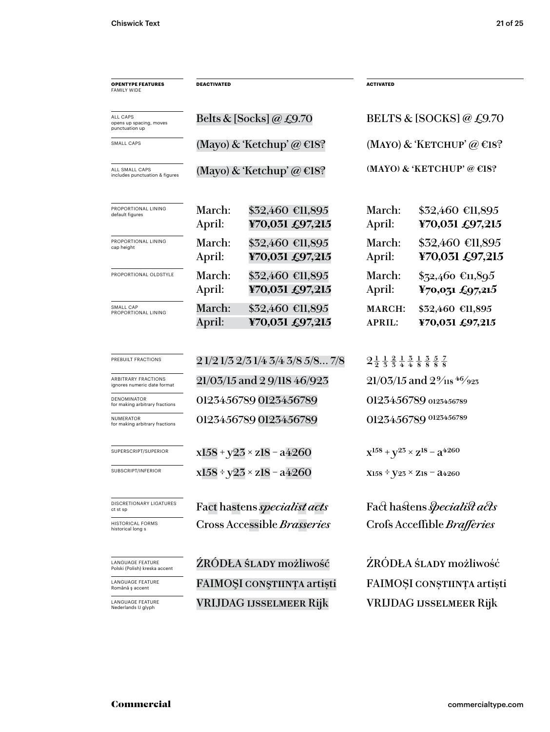| <b>OPENTYPE FEATURES</b><br><b>FAMILY WIDE</b>            | DEACTIVATED                         |                                     | <b>ACTIVATED</b>                                                                                                               |                                                   |
|-----------------------------------------------------------|-------------------------------------|-------------------------------------|--------------------------------------------------------------------------------------------------------------------------------|---------------------------------------------------|
| ALL CAPS<br>opens up spacing, moves<br>punctuation up     |                                     | Belts & [Socks] @ £9.70             |                                                                                                                                | BELTS & [SOCKS] $@$ £9.70                         |
| SMALL CAPS                                                | (Mayo) & 'Ketchup' @ $E18$ ?        |                                     | (MAYO) & 'KETCHUP' @ $\in$ 18?                                                                                                 |                                                   |
| ALL SMALL CAPS<br>includes punctuation & figures          | (Mayo) & 'Ketchup' @ $E18$ ?        |                                     |                                                                                                                                | (MAYO) & 'KETCHUP' @ $E$ 18?                      |
| PROPORTIONAL LINING<br>default figures                    | March:<br>April:                    | \$32,460 €11,895<br>¥70,031 £97,215 | March:<br>April:                                                                                                               | $$32,460$ €11,895<br>¥70,031 £97,215              |
| PROPORTIONAL LINING<br>cap height                         | March:<br>April:                    | \$32,460 €11,895<br>¥70,031 £97,215 | March:<br>April:                                                                                                               | \$32,460 €11,895<br>¥70,031 £97,215               |
| PROPORTIONAL OLDSTYLE                                     | March:<br>April:                    | \$32,460 €11,895<br>¥70,031 £97,215 | March:<br>April:                                                                                                               | $$72,460$ €11,895<br>$\frac{1}{2}70,0,15$ £97,215 |
| SMALL CAP<br>PROPORTIONAL LINING                          | <b>March:</b><br>April:             | \$32,460 €11,895<br>¥70,031 £97,215 | <b>MARCH:</b><br><b>APRIL:</b>                                                                                                 | \$32,460 €11,895<br>¥70,031 £97,215               |
| PREBUILT FRACTIONS                                        | 2 1/2 1/3 2/3 1/4 3/4 3/8 5/8 7/8   |                                     | $2\frac{1}{2}$ $\frac{1}{3}$ $\frac{2}{4}$ $\frac{1}{4}$ $\frac{3}{8}$ $\frac{1}{8}$ $\frac{3}{8}$ $\frac{5}{8}$ $\frac{7}{8}$ |                                                   |
| <b>ARBITRARY FRACTIONS</b><br>ignores numeric date format | 21/03/15 and 2 9/118 46/923         |                                     | $21/03/15$ and $2\frac{9}{18}$ 46/923                                                                                          |                                                   |
| DENOMINATOR<br>for making arbitrary fractions             | 0123456789 0123456789               |                                     |                                                                                                                                | 0123456789 0123456789                             |
| NUMERATOR<br>for making arbitrary fractions               | 0123456789 0123456789               |                                     |                                                                                                                                | 0123456789 0123456789                             |
| SUPERSCRIPT/SUPERIOR                                      | $x158 + y23 \times z18 - a4260$     |                                     |                                                                                                                                | $X^{158} + Y^{25} \times Z^{18} - 3^{4260}$       |
| SUBSCRIPT/INFERIOR                                        | $x158 \div y23 \times z18 - a4260$  |                                     | $X158 \div V23 \times Z18 = 24260$                                                                                             |                                                   |
| <b>DISCRETIONARY LIGATURES</b><br>ct st sp                | Fact hastens <i>specialist acts</i> |                                     |                                                                                                                                | Fact hastens <i>specialist acts</i>               |
| <b>HISTORICAL FORMS</b><br>historical long s              | Cross Accessible Brasseries         |                                     |                                                                                                                                | Crofs Acceffible Brafferies                       |
| LANGUAGE FEATURE<br>Polski (Polish) kreska accent         | ŹRÓDŁA ŚLADY możliwość              |                                     |                                                                                                                                | ŹRÓDŁA ŚLADY możliwość                            |
| LANGUAGE FEATURE<br>Română ș accent                       | FAIMOȘI CONȘTIINȚA artiști          |                                     |                                                                                                                                | FAIMOȘI CONȘTIINȚA artiști                        |
| LANGUAGE FEATURE<br>Nederlands IJ glyph                   | VRIJDAG IJSSELMEER Rijk             |                                     |                                                                                                                                | VRIJDAG IJSSELMEER Rijk                           |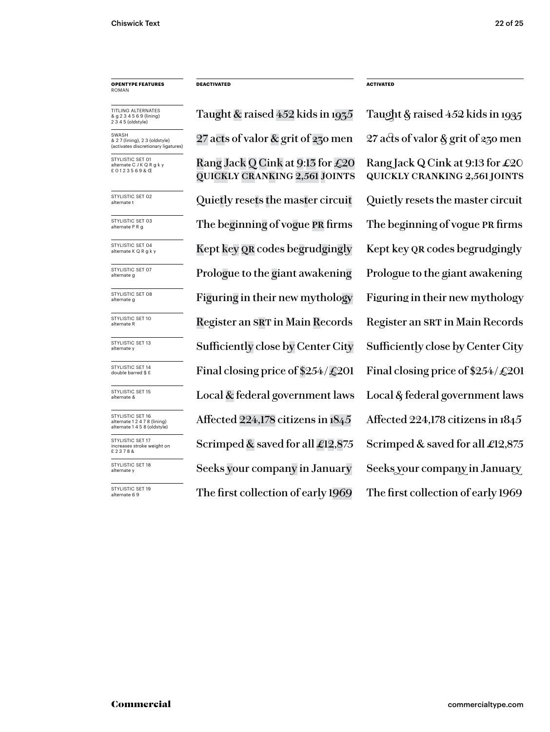## **OPENTYPE FEATURES** ROMAN

TITLING ALTERNATES & g 2 3 4 5 6 9 (lining) 2 3 4 5 (oldstyle)

SWASH & 2 7 (lining), 2 3 (oldstyle) (activates discretionary ligatures)

STYLISTIC SET 01 nate C J K Q R g k y £ 0 1 2 3 5 6 9 & Œ

STYLISTIC SET 02<br>alternate t

STYLISTIC SET 03<br>alternate P R g

STYLISTIC SET 04<br>alternate K Q R g k y

STYLISTIC SET 07<br>alternate g

STYLISTIC SET 08<br>alternate g

STYLISTIC SET 10<br>alternate R

STYLISTIC SET 13<br>alternate y

STYLISTIC SET 14<br>double barred \$ £

STYLISTIC SET 15<br>alternate &

STYLISTIC SET 16 alternate 1 2 4 7 8 (lining) alternate 1 4 5 8 (oldstyle) STYLISTIC SET 17

increases stroke weight on £ 2 3 7 8 &

STYLISTIC SET 18<br>alternate y

STYLISTIC SET 19<br>alternate 6 9

Taught & raised 452 kids in 1935 Taught & raised 452 kids in 1935 Rang Jack Q Cink at 9:13 for £20 quickly cranking 2,561 joints 27 acts of valor & grit of 230 men 27 acts of valor & grit of 230 men Quietly resets the master circuit  $\quad$  Quietly resets the master circuit The beginning of vogue PR firms The beginning of vogue PR firms Kept key QR codes begrudgingly Kept key QR codes begrudgingly Prologue to the giant awakening Prologue to the giant awakening Figuring in their new mythology Figuring in their new mythology Register an SRT in Main Records Register an SRT in Main Records Final closing price of  $$254/\text{\textsterling}201$  Final closing price of  $$254/\text{\textsterling}201$ Local  $\&$  federal government laws Local  $\&$  federal government laws Affected 224,178 citizens in 1845 Affected 224,178 citizens in 1845 Scrimped & saved for all  $\pounds$ 12,875 Scrimped & saved for all  $\pounds$ 12,875 Sufficiently close by Center City Sufficiently close by Center City Seeks your company in January Seeks your company in January

**DEACTIVATED ACTIVATED**

Rang Jack Q Cink at 9:13 for  $\pounds 20$ quickly cranking 2,561 joints The first collection of early 1969 The first collection of early 1969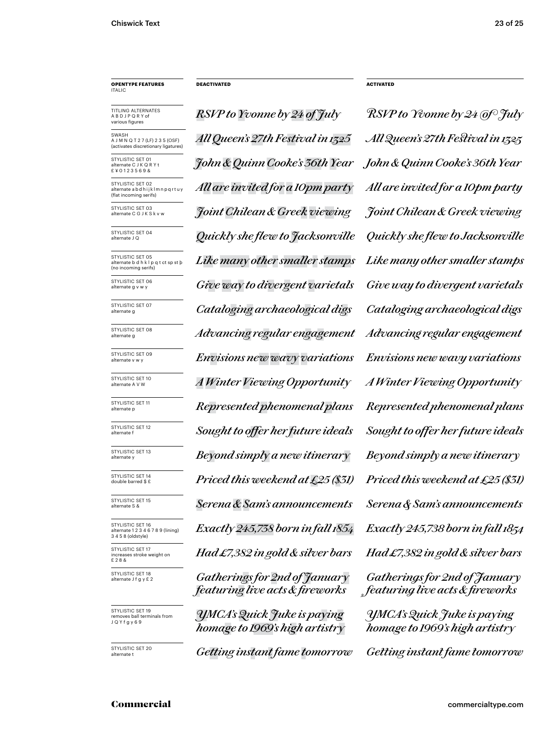# **OPENTYPE FEATURES** ITALIC

TITLING ALTERNATES A B D J P Q R Y of various figures

SWASH A J M N Q T 2 7 (LF) 2 3 5 (OSF)<br>(activates discretionary ligatures) (activates discretic

STYLISTIC SET 01 ate C J K Q R Y £ ¥ 0 1 2 3 5 6 9 &

STYLISTIC SET 02 alternate a b d h i j k l m n p q r t u y (flat incoming serifs)

STYLISTIC SET 03<br>alternate C G J K S k v w

STYLISTIC SET 04

STYLISTIC SET 05 alternate b d h k l p q t ct sp st þ (no incoming serifs)

STYLISTIC SET 06<br>alternate g v w y

STYLISTIC SET 07

STYLISTIC SET 08<br>alternate g

STYLISTIC SET 09

STYLISTIC SET 10<br>alternate A V W

STYLISTIC SET 11<br>alternate p

STYLISTIC SET 12<br>alternate f

STYLISTIC SET 13<br>alternate v

STYLISTIC SET 14<br>double barred \$ £

STYLISTIC SET 15<br>alternate S &

STYLISTIC SET 16 alternate 1 2 3 4 6 7 8 9 (lining) 3 4 5 8 (oldstyle) STYLISTIC SET 17 increases stroke weight on

£ 2 8 & STYLISTIC SET 18<br>alternate J f q y £ 2

STYLISTIC SET 19 ves ball terminals from J Q Y f g y 6 9

STYLISTIC SFT 20

*RSVP to Yvonne by 24 of July RSVP to Yvonne by 24 of July John & Quinn Cooke's 36th Year John & Quinn Cooke's 36th Year All Queen's 27th Festival in 1325 All Queen's 27th Festival in 1325 All are invited for a 10pm party All are invited for a 10pm party* alternate C G J K S k v w *Joint Chilean & Greek viewing Joint Chilean & Greek viewing* alternate J Q *Quickly she flew to Jacksonville Quickly she flew to Jacksonville Like many other smaller stamps Like many other smaller stamps* Give way to divergent varietals Give way to divergent varietals alternate g *Cataloging archaeological digs Cataloging archaeological digs* alternate g *Advancing regular engagement Advancing regular engagement* alternate v w y *Envisions new wavy variations Envisions new wavy variations* alternate p *Represented phenomenal plans Represented phenomenal plans Priced this weekend at £25 (\$31) Priced this weekend at £25 (\$31)* alternate S & *Serena & Sam's announcements Serena & Sam's announcements Exactly 245,738 born in fall 1854 Had £7,382 in gold & silver bars* alternate A V W *A Winter Viewing Opportunity A Winter Viewing Opportunity*  $Sought$  to offer her future ideals  $Sought$  to offer her future ideals alternate y *Beyond simply a new itinerary Beyond simply a new itinerar y*

Gatherings for 2nd of January *featuring live acts & fireworks*

*YMCA'sQuick Juke is paying homage to 1969's high artistry*

Getting instant fame tomorrow Getting instant fame tomorrow

**DEACTIVATED ACTIVATED**

*Exactly 245,738 born in fall 1854 Had �7,382 in gold & silver bars YMCA's Quick Juke is paying homage to 1969's high artistry Gatherings for �nd of Januar y featuring live acts & fireworks*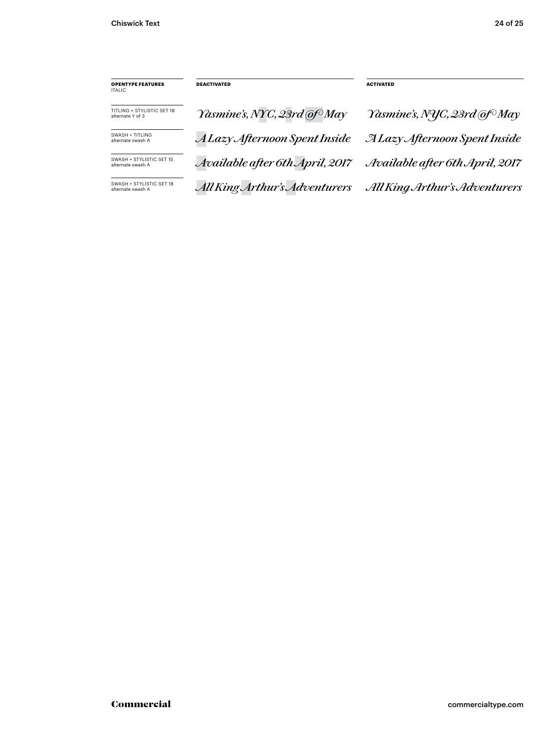| <b>OPENTYPE FEATURES</b><br>ITALIC.            | <b>DEACTIVATED</b>              | <b>ACTIVATED</b>                         |
|------------------------------------------------|---------------------------------|------------------------------------------|
| TITLING + STYLISTIC SET 18<br>alternate Y of 3 | Yasmine's, NYC, 23rd @f May     | Yasmine's, NYC, 23rd @f <sup>o</sup> May |
| SWASH + TITLING<br>alternate swash A           | A Lazy Afternoon Spent Inside   | <b>ALazy Afternoon Spent Inside</b>      |
| SWASH + STYLISTIC SET 15<br>alternate swash A  | Available after 6th April, 2017 | Available after 6th April, 2017          |
| SWASH + STYLISTIC SET 18<br>alternate swash A  | All King Arthur's Adventurers   | All King Arthur's Adventurers            |